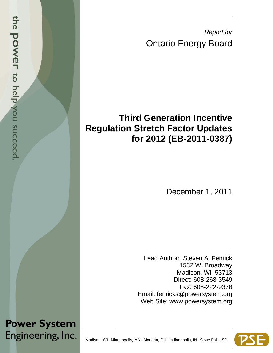*Report for* Ontario Energy Board

## **Third Generation Incentive Regulation Stretch Factor Updates for 2012 (EB-2011-0387)**

December 1, 2011

Lead Author: Steven A. Fenrick 1532 W. Broadway Madison, WI 53713 Direct: 608-268-3549 Fax: 608-222-9378 Email: fenricks@powersystem.org Web Site: www.powersystem.org

**Power System** Engineering, Inc.

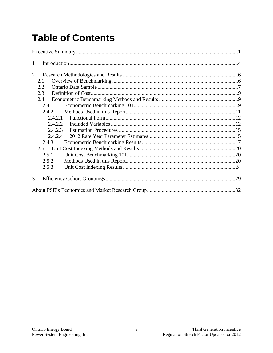# **Table of Contents**

| $\mathbf{1}$ |  |
|--------------|--|
| 2            |  |
| 2.1          |  |
| 2.2          |  |
| 2.3          |  |
| 2.4          |  |
| 2.4.1        |  |
| 2.4.2        |  |
|              |  |
| 2.4.2.2      |  |
| 2.4.2.3      |  |
| 2.4.2.4      |  |
| 2.4.3        |  |
| 2.5          |  |
| 2.5.1        |  |
| 2.5.2        |  |
| 2.5.3        |  |
| 3            |  |
|              |  |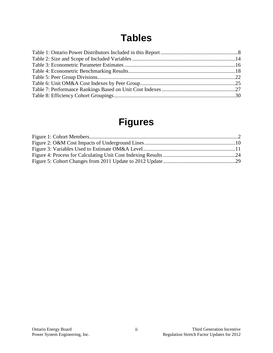# **Tables**

## **Figures**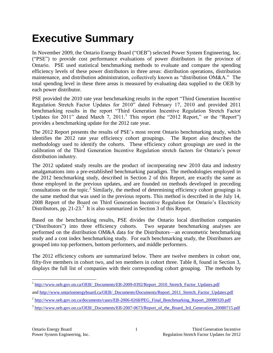# <span id="page-3-0"></span>**Executive Summary**

In November 2009, the Ontario Energy Board ("OEB") selected Power System Engineering, Inc. ("PSE") to provide cost performance evaluations of power distributors in the province of Ontario. PSE used statistical benchmarking methods to evaluate and compare the spending efficiency levels of these power distributors in three areas: distribution operations, distribution maintenance, and distribution administration, collectively known as "distribution OM&A." The total spending level in these three areas is measured by evaluating data supplied to the OEB by each power distributor.

PSE provided the 2010 rate year benchmarking results in the report "Third Generation Incentive Regulation Stretch Factor Updates for 2010" dated February 17, 2010 and provided 2011 benchmarking results in the report "Third Generation Incentive Regulation Stretch Factor Updates for 2011" dated March 7, 2011.<sup>1</sup> This report (the "2012 Report," or the "Report") provides a benchmarking update for the 2012 rate year.

The 2012 Report presents the results of PSE's most recent Ontario benchmarking study, which identifies the 2012 rate year efficiency cohort groupings. The Report also describes the methodology used to identify the cohorts. These efficiency cohort groupings are used in the calibration of the Third Generation Incentive Regulation stretch factors for Ontario's power distribution industry.

The 2012 updated study results are the product of incorporating new 2010 data and industry amalgamations into a pre-established benchmarking paradigm. The methodologies employed in the 2012 benchmarking study, described in Section 2 of this Report, are exactly the same as those employed in the previous updates, and are founded on methods developed in preceding consultations on the topic.<sup>2</sup> Similarly, the method of determining efficiency cohort groupings is the same method that was used in the previous reports. This method is described in the July 14, 2008 Report of the Board on Third Generation Incentive Regulation for Ontario's Electricity Distributors, pp. 21-23.<sup>3</sup> It is also summarized in Section 3 of this Report.

Based on the benchmarking results, PSE divides the Ontario local distribution companies ("Distributors") into three efficiency cohorts. Two separate benchmarking analyses are performed on the distribution OM&A data for the Distributors—an econometric benchmarking study and a cost index benchmarking study. For each benchmarking study, the Distributors are grouped into top performers, bottom performers, and middle performers.

The 2012 efficiency cohorts are summarized below. There are twelve members in cohort one, fifty-five members in cohort two, and ten members in cohort three. [Table 8,](#page-32-0) found in Section 3, displays the full list of companies with their corresponding cohort grouping. The methods by

<sup>&</sup>lt;sup>1</sup> [http://www.oeb.gov.on.ca/OEB/\\_Documents/EB-2009-0392/Report\\_2010\\_Stretch\\_Factor\\_Updates.pdf](http://www.oeb.gov.on.ca/OEB/_Documents/EB-2009-0392/Report_2010_Stretch_Factor_Updates.pdf)

and [http://www.ontarioenergyboard.ca/OEB/\\_Documents/Documents/Report\\_2011\\_Stretch\\_Factor\\_Updates.pdf](http://www.ontarioenergyboard.ca/OEB/_Documents/Documents/Report_2011_Stretch_Factor_Updates.pdf)

<sup>&</sup>lt;sup>2</sup> [http://www.oeb.gov.on.ca/documents/cases/EB-2006-0268/PEG\\_Final\\_Benchmarking\\_Report\\_20080320.pdf](http://www.oeb.gov.on.ca/documents/cases/EB-2006-0268/PEG_Final_Benchmarking_Report_20080320.pdf)

<sup>&</sup>lt;sup>3</sup> [http://www.oeb.gov.on.ca/OEB/\\_Documents/EB-2007-0673/Report\\_of\\_the\\_Board\\_3rd\\_Generation\\_20080715.pdf](http://www.oeb.gov.on.ca/OEB/_Documents/EB-2007-0673/Report_of_the_Board_3rd_Generation_20080715.pdf)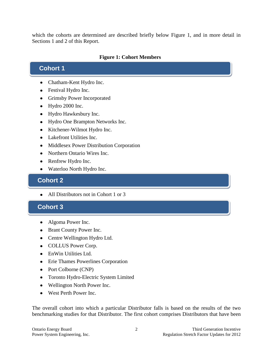which the cohorts are determined are described briefly below Figure 1, and in more detail in Sections 1 and 2 of this Report.

#### **Figure 1: Cohort Members**

### **Cohort 1**

- Chatham-Kent Hydro Inc.
- Festival Hydro Inc.
- Grimsby Power Incorporated
- Hydro 2000 Inc.
- Hydro Hawkesbury Inc.
- Hydro One Brampton Networks Inc.
- Kitchener-Wilmot Hydro Inc.
- Lakefront Utilities Inc.
- Middlesex Power Distribution Corporation
- Northern Ontario Wires Inc.
- Renfrew Hydro Inc.
- Waterloo North Hydro Inc.

### **Cohort 2 Cohort 2**

• All Distributors not in Cohort 1 or 3

### **Cohort 3**

- Algoma Power Inc.
- Brant County Power Inc.
- Centre Wellington Hydro Ltd.
- COLLUS Power Corp.
- EnWin Utilities Ltd.
- Erie Thames Powerlines Corporation
- Port Colborne (CNP)
- Toronto Hydro-Electric System Limited
- Wellington North Power Inc.
- West Perth Power Inc.

The overall cohort into which a particular Distributor falls is based on the results of the two benchmarking studies for that Distributor. The first cohort comprises Distributors that have been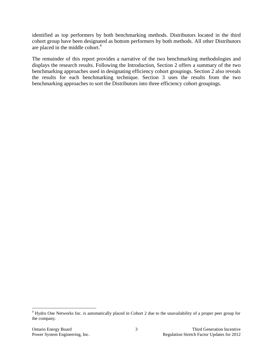identified as top performers by both benchmarking methods. Distributors located in the third cohort group have been designated as bottom performers by both methods. All other Distributors are placed in the middle cohort. 4

The remainder of this report provides a narrative of the two benchmarking methodologies and displays the research results. Following the Introduction, Section 2 offers a summary of the two benchmarking approaches used in designating efficiency cohort groupings. Section 2 also reveals the results for each benchmarking technique. Section 3 uses the results from the two benchmarking approaches to sort the Distributors into three efficiency cohort groupings.

<sup>&</sup>lt;sup>4</sup> Hydro One Networks Inc. is automatically placed in Cohort 2 due to the unavailability of a proper peer group for the company.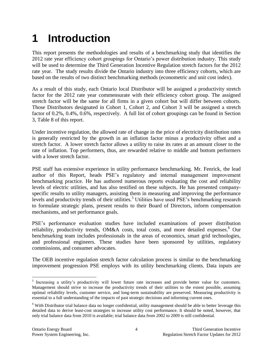# <span id="page-6-0"></span>**1 Introduction**

This report presents the methodologies and results of a benchmarking study that identifies the 2012 rate year efficiency cohort groupings for Ontario's power distribution industry. This study will be used to determine the Third Generation Incentive Regulation stretch factors for the 2012 rate year. The study results divide the Ontario industry into three efficiency cohorts, which are based on the results of two distinct benchmarking methods (econometric and unit cost index).

As a result of this study, each Ontario local Distributor will be assigned a productivity stretch factor for the 2012 rate year commensurate with their efficiency cohort group. The assigned stretch factor will be the same for all firms in a given cohort but will differ between cohorts. Those Distributors designated in Cohort 1, Cohort 2, and Cohort 3 will be assigned a stretch factor of 0.2%, 0.4%, 0.6%, respectively. A full list of cohort groupings can be found in Section 3, [Table 8](#page-32-0) of this report.

Under incentive regulation, the allowed rate of change in the price of electricity distribution rates is generally restricted by the growth in an inflation factor minus a productivity offset and a stretch factor. A lower stretch factor allows a utility to raise its rates at an amount closer to the rate of inflation. Top performers, thus, are rewarded relative to middle and bottom performers with a lower stretch factor.

PSE staff has extensive experience in utility performance benchmarking. Mr. Fenrick, the lead author of this Report, heads PSE's regulatory and internal management improvement benchmarking practice. He has authored numerous reports evaluating the cost and reliability levels of electric utilities, and has also testified on these subjects. He has presented companyspecific results to utility managers, assisting them in measuring and improving the performance levels and productivity trends of their utilities.<sup>5</sup> Utilities have used PSE's benchmarking research to formulate strategic plans, present results to their Board of Directors, inform compensation mechanisms, and set performance goals.

PSE's performance evaluation studies have included examinations of power distribution reliability, productivity trends, OM&A costs, total costs, and more detailed expenses.<sup>6</sup> Our benchmarking team includes professionals in the areas of economics, smart grid technologies, and professional engineers. These studies have been sponsored by utilities, regulatory commissions, and consumer advocates.

The OEB incentive regulation stretch factor calculation process is similar to the benchmarking improvement progression PSE employs with its utility benchmarking clients. Data inputs are

<sup>&</sup>lt;sup>5</sup> Increasing a utility's productivity will lower future rate increases and provide better value for customers. Management should strive to increase the productivity trends of their utilities to the extent possible, assuming optimal reliability levels, customer service, and long-term sustainability are preserved. Measuring productivity is essential to a full understanding of the impacts of past strategic decisions and informing current ones.

<sup>&</sup>lt;sup>6</sup> With Distributor trial balance data no longer confidential, utility management should be able to better leverage this detailed data to derive least-cost strategies to increase utility cost performance. It should be noted, however, that only trial balance data from 2010 is available; trial balance data from 2002 to 2009 is still confidential.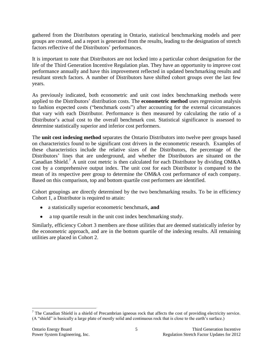gathered from the Distributors operating in Ontario, statistical benchmarking models and peer groups are created, and a report is generated from the results, leading to the designation of stretch factors reflective of the Distributors' performances.

It is important to note that Distributors are not locked into a particular cohort designation for the life of the Third Generation Incentive Regulation plan. They have an opportunity to improve cost performance annually and have this improvement reflected in updated benchmarking results and resultant stretch factors. A number of Distributors have shifted cohort groups over the last few years.

As previously indicated, both econometric and unit cost index benchmarking methods were applied to the Distributors' distribution costs. The **econometric method** uses regression analysis to fashion expected costs ("benchmark costs") after accounting for the external circumstances that vary with each Distributor. Performance is then measured by calculating the ratio of a Distributor's actual cost to the overall benchmark cost. Statistical significance is assessed to determine statistically superior and inferior cost performers.

The **unit cost indexing method** separates the Ontario Distributors into twelve peer groups based on characteristics found to be significant cost drivers in the econometric research. Examples of these characteristics include the relative sizes of the Distributors, the percentage of the Distributors' lines that are underground, and whether the Distributors are situated on the Canadian Shield.<sup>7</sup> A unit cost metric is then calculated for each Distributor by dividing OM&A cost by a comprehensive output index. The unit cost for each Distributor is compared to the mean of its respective peer group to determine the OM&A cost performance of each company. Based on this comparison, top and bottom quartile cost performers are identified.

Cohort groupings are directly determined by the two benchmarking results. To be in efficiency Cohort 1, a Distributor is required to attain:

- a statistically superior econometric benchmark, **and**
- a top quartile result in the unit cost index benchmarking study.  $\bullet$

Similarly, efficiency Cohort 3 members are those utilities that are deemed statistically inferior by the econometric approach, and are in the bottom quartile of the indexing results. All remaining utilities are placed in Cohort 2.

 $7$  The Canadian Shield is a shield of Precambrian igneous rock that affects the cost of providing electricity service. (A "shield" is basically a large plate of mostly solid and continuous rock that is close to the earth's surface.)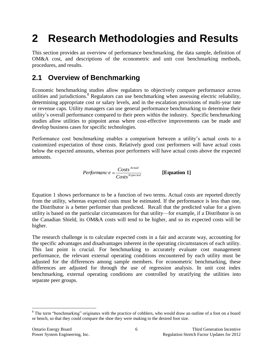# <span id="page-8-0"></span>**2 Research Methodologies and Results**

This section provides an overview of performance benchmarking, the data sample, definition of OM&A cost, and descriptions of the econometric and unit cost benchmarking methods, procedures, and results.

### <span id="page-8-1"></span>**2.1 Overview of Benchmarking**

Economic benchmarking studies allow regulators to objectively compare performance across utilities and jurisdictions.<sup>8</sup> Regulators can use benchmarking when assessing electric reliability, determining appropriate cost or salary levels, and in the escalation provisions of multi-year rate or revenue caps. Utility managers can use general performance benchmarking to determine their utility's overall performance compared to their peers within the industry. Specific benchmarking studies allow utilities to pinpoint areas where cost-effective improvements can be made and develop business cases for specific technologies.

Performance cost benchmarking enables a comparison between a utility's actual costs to a customized expectation of those costs. Relatively good cost performers will have actual costs below the expected amounts, whereas poor performers will have actual costs above the expected amounts.

*Performance* = 
$$
\frac{Costs^{Actual}}{Costs^{Expected}}
$$
 [Equation 1]

Equation 1 shows performance to be a function of two terms. Actual costs are reported directly from the utility, whereas expected costs must be estimated. If the performance is less than one, the Distributor is a better performer than predicted. Recall that the predicted value for a given utility is based on the particular circumstances for that utility—for example, if a Distributor is on the Canadian Shield, its OM&A costs will tend to be higher, and so its expected costs will be higher.

The research challenge is to calculate expected costs in a fair and accurate way, accounting for the specific advantages and disadvantages inherent in the operating circumstances of each utility. This last point is crucial. For benchmarking to accurately evaluate cost management performance, the relevant external operating conditions encountered by each utility must be adjusted for the differences among sample members. For econometric benchmarking, these differences are adjusted for through the use of regression analysis. In unit cost index benchmarking, external operating conditions are controlled by stratifying the utilities into separate peer groups.

 $\overline{a}$ <sup>8</sup> The term "benchmarking" originates with the practice of cobblers, who would draw an outline of a foot on a board or bench, so that they could compare the shoe they were making to the desired foot size.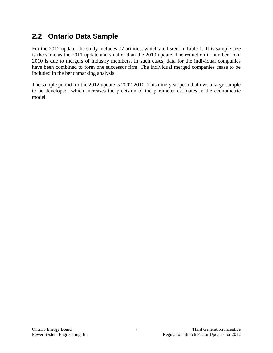### <span id="page-9-0"></span>**2.2 Ontario Data Sample**

For the 2012 update, the study includes 77 utilities, which are listed in Table 1. This sample size is the same as the 2011 update and smaller than the 2010 update. The reduction in number from 2010 is due to mergers of industry members. In such cases, data for the individual companies have been combined to form one successor firm. The individual merged companies cease to be included in the benchmarking analysis.

The sample period for the 2012 update is 2002-2010. This nine-year period allows a large sample to be developed, which increases the precision of the parameter estimates in the econometric model.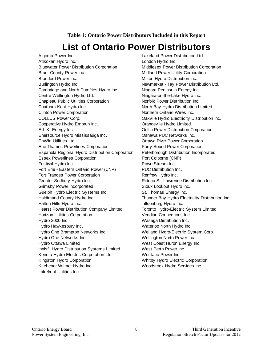#### **Table 1: Ontario Power Distributors Included in this Report**

## **List of Ontario Power Distributors**

<span id="page-10-0"></span>Algoma Power Inc. Lakeland Power Distribution Ltd. Atikokan Hydro Inc. **London Hydro Inc. London Hydro Inc.** Bluewater Power Distribution Corporation Middlesex Power Distribution Corporation Brant County Power Inc. The Midland Power Utility Corporation Brantford Power Inc. The Contract of the Milton Hydro Distribution Inc. Burlington Hydro Inc. Newmarket - Tay Power Distribution Ltd. Cambridge and North Dumfries Hydro Inc. Niagara Peninsula Energy Inc. Centre Wellington Hydro Ltd. Niagara-on-the-Lake Hydro Inc. Chapleau Public Utilities Corporation Norfolk Power Distribution Inc. Chatham-Kent Hydro Inc. The Chatham-Kent Hydro Inc. North Bay Hydro Distribution Limited Clinton Power Corporation **Northern Collection** Northern Ontario Wires Inc. COLLUS Power Corp. **COLLUS Power Corp. COLLUS Power Corp. Oakville Hydro Electricity Distribution Inc.** Cooperative Hydro Embrun Inc. Cooperative Hydro Embrun Inc. E.L.K. Energy Inc. Orillia Power Distribution Corporation Enersource Hydro Mississauga Inc. Oshawa PUC Networks Inc. EnWin Utilities Ltd. **Communist Constructs** Construction Communist Communist Communist Communist Communist Communist Communist Communist Communist Communist Communist Communist Communist Communist Communist Communist Commu Erie Thames Powerlines Corporation Parry Sound Power Corporation Espanola Regional Hydro Distribution Corporation Peterborough Distribution Incorporated Essex Powerlines Corporation **Port Colborne (CNP)** Festival Hydro Inc. **PowerStream Inc.** PowerStream Inc. Fort Erie - Eastern Ontario Power (CNP) PUC Distribution Inc. Fort Frances Power Corporation **Renfrew Hydro Inc.** Greater Sudbury Hydro Inc. The Sudden Control of Rideau St. Lawrence Distribution Inc. Grimsby Power Incorporated Sioux Lookout Hydro Inc. Guelph Hydro Electric Systems Inc. St. Thomas Energy Inc. Haldimand County Hydro Inc. Thunder Bay Hydro Electricity Distribution Inc. Halton Hills Hydro Inc. Tillsonburg Hydro Inc. Hearst Power Distribution Company Limited Toronto Hydro-Electric System Limited Horizon Utilities Corporation **Veridian Connections** Inc. Hydro 2000 Inc. Wasaga Distribution Inc. Hydro Hawkesbury Inc. The Controller waterloo North Hydro Inc. Hydro One Brampton Networks Inc. Welland Hydro-Electric System Corp. Hydro One Networks Inc. Wellington North Power Inc. Hydro Ottawa Limited **West Coast Huron Energy Inc.** Innisfil Hydro Distribution Systems Limited West Perth Power Inc. Kenora Hydro Electric Corporation Ltd. Westario Power Inc. Kingston Hydro Corporation Whitby Hydro Electric Corporation Kitchener-Wilmot Hydro Inc. The Moodstock Hydro Services Inc. Lakefront Utilities Inc.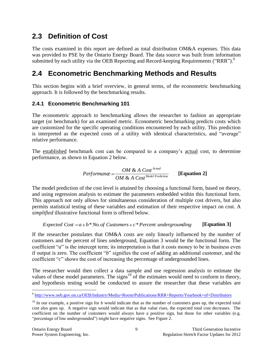### <span id="page-11-0"></span>**2.3 Definition of Cost**

The costs examined in this report are defined as total distribution OM&A expenses. This data was provided to PSE by the Ontario Energy Board. The data source was built from information submitted by each utility via the OEB Reporting and Record-keeping Requirements ("RRR").<sup>9</sup>

### <span id="page-11-1"></span>**2.4 Econometric Benchmarking Methods and Results**

This section begins with a brief overview, in general terms, of the econometric benchmarking approach. It is followed by the benchmarking results.

### <span id="page-11-2"></span>**2.4.1 Econometric Benchmarking 101**

The econometric approach to benchmarking allows the researcher to fashion an appropriate target (or benchmark) for an examined metric. Econometric benchmarking predicts costs which are customized for the specific operating conditions encountered by each utility. This prediction is interpreted as the expected costs of a utility with identical characteristics, and "average" relative performance.

The established benchmark cost can be compared to a company's actual cost, to determine performance, as shown in Equation 2 below.

$$
Performance = \frac{OM \& A Cost^{Actual}}{OM \& A Cost^{Model Prediction}}
$$
 [Equation 2]

The model prediction of the cost level is attained by choosing a functional form, based on theory, and using regression analysis to estimate the parameters embedded within this functional form. This approach not only allows for simultaneous consideration of multiple cost drivers, but also permits statistical testing of these variables and estimation of their respective impact on cost. A *simplified* illustrative functional form is offered below.

Expected Cost = 
$$
a + b \cdot No. \text{ of Customer} + c \cdot Po|
$$
 percent undergoing [Equation 3]

If the researcher postulates that OM&A costs are only linearly influenced by the number of customers and the percent of lines underground, Equation 3 would be the functional form. The coefficient "*a*" is the intercept term; its interpretation is that it costs money to be in business even if output is zero. The coefficient "*b*" signifies the cost of adding an additional customer, and the coefficient "*c*" shows the cost of increasing the percentage of undergrounded lines.

The researcher would then collect a data sample and use regression analysis to estimate the values of these model parameters. The signs<sup>10</sup> of the estimates would need to conform to theory, and hypothesis testing would be conducted to assure the researcher that these variables are

 9 <http://www.oeb.gov.on.ca/OEB/Industry/Media+Room/Publications/RRR+Reports/Yearbook+of+Distributors>

 $10$  In our example, a positive sign for *b* would indicate that as the number of customers goes up, the expected total cost also goes up. A negative sign would indicate that as that value rises, the expected total cost decreases. The coefficient on the number of customers would always have a positive sign, but those for other variables (e.g. "percentage of line undergrounded") might have negative signs. See [Figure 2.](#page-12-0)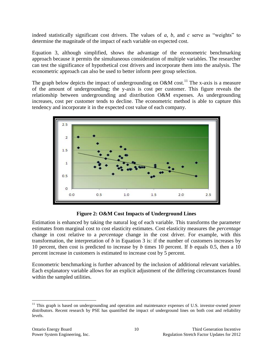indeed statistically significant cost drivers. The values of *a*, *b*, and *c* serve as "weights" to determine the magnitude of the impact of each variable on expected cost.

Equation 3, although simplified, shows the advantage of the econometric benchmarking approach because it permits the simultaneous consideration of multiple variables. The researcher can test the significance of hypothetical cost drivers and incorporate them into the analysis. The econometric approach can also be used to better inform peer group selection.

The graph below depicts the impact of undergrounding on  $O\&M \text{ cost.}^{11}$  The x-axis is a measure of the amount of undergrounding; the y-axis is cost per customer. This figure reveals the relationship between undergrounding and distribution O&M expenses. As undergrounding increases, cost per customer tends to decline. The econometric method is able to capture this tendency and incorporate it in the expected cost value of each company.



**Figure 2: O&M Cost Impacts of Underground Lines**

<span id="page-12-0"></span>Estimation is enhanced by taking the natural log of each variable. This transforms the parameter estimates from marginal cost to cost elasticity estimates. Cost elasticity measures the *percentage* change in cost relative to a *percentage* change in the cost driver. For example, with this transformation, the interpretation of *b* in Equation 3 is: if the number of customers increases by 10 percent, then cost is predicted to increase by *b* times 10 percent. If *b* equals 0.5, then a 10 percent increase in customers is estimated to increase cost by 5 percent.

Econometric benchmarking is further advanced by the inclusion of additional relevant variables. Each explanatory variable allows for an explicit adjustment of the differing circumstances found within the sampled utilities.

<sup>&</sup>lt;sup>11</sup> This graph is based on undergrounding and operation and maintenance expenses of U.S. investor-owned power distributors. Recent research by PSE has quantified the impact of underground lines on both cost and reliability levels.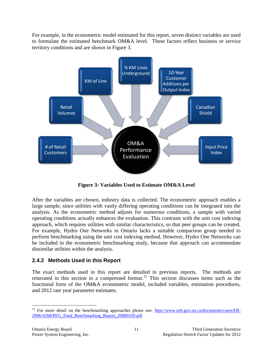For example, in the econometric model estimated for this report, seven distinct variables are used to formulate the estimated benchmark OM&A level. These factors reflect business or service territory conditions and are shown in Figure 3.



**Figure 3: Variables Used to Estimate OM&A Level**

<span id="page-13-1"></span>After the variables are chosen, industry data is collected. The econometric approach enables a large sample, since utilities with vastly differing operating conditions can be integrated into the analysis. As the econometric method adjusts for numerous conditions, a sample with varied operating conditions actually enhances the evaluation. This contrasts with the unit cost indexing approach, which requires utilities with similar characteristics, so that peer groups can be created. For example, Hydro One Networks in Ontario lacks a suitable comparison group needed to perform benchmarking using the unit cost indexing method. However, Hydro One Networks can be included in the econometric benchmarking study, because that approach can accommodate dissimilar utilities within the analysis.

### <span id="page-13-0"></span>**2.4.2 Methods Used in this Report**

The exact methods used in this report are detailed in previous reports. The methods are reiterated in this section in a compressed format.<sup>12</sup> This section discusses items such as the functional form of the OM&A econometric model, included variables, estimation procedures, and 2012 rate year parameter estimates.

<sup>&</sup>lt;sup>12</sup> For more detail on the benchmarking approaches please see:  $\frac{http://www.oeb.gov.on.ca/documents/cases/EB-}{}$ [2006-0268/PEG\\_Final\\_Benchmarking\\_Report\\_20080320.pdf](http://www.oeb.gov.on.ca/documents/cases/EB-2006-0268/PEG_Final_Benchmarking_Report_20080320.pdf)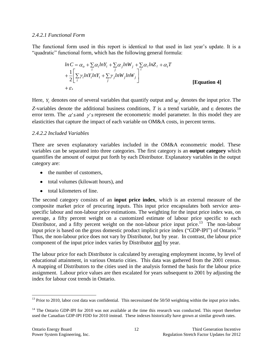#### <span id="page-14-0"></span>*2.4.2.1 Functional Form*

The functional form used in this report is identical to that used in last year's update. It is a "quadratic" functional form, which has the following general formula:

$$
ln C = \alpha_o + \sum_{i} \alpha_i ln Y_i + \sum_{j} \alpha_j ln W_j + \sum_{\ell} \alpha_{\ell} ln Z_{\ell} + \alpha_{\ell} T
$$
  
+ 
$$
\frac{1}{2} \Bigg[ \sum_{i} \gamma_i ln Y_i ln Y_i + \sum_{j} \gamma_j ln W_j ln W_j \Bigg]^{\ell}
$$
  
+ 
$$
\varepsilon.
$$
 [Equation 4]

Here,  $Y_i$  denotes one of several variables that quantify output and  $W_j$  denotes the input price. The *Z*-variables denote the additional business conditions,  $T$  is a trend variable, and  $\varepsilon$  denotes the error term. The  $\alpha$ 's and  $\gamma$ 's represent the econometric model parameter. In this model they are elasticities that capture the impact of each variable on OM&A costs, in percent terms.

#### <span id="page-14-1"></span>*2.4.2.2 Included Variables*

There are seven explanatory variables included in the OM&A econometric model. These variables can be separated into three categories. The first category is an **output category** which quantifies the amount of output put forth by each Distributor. Explanatory variables in the output category are:

- the number of customers,
- total volumes (kilowatt hours), and
- total kilometers of line.

The second category consists of an **input price index**, which is an external measure of the composite market price of procuring inputs. This input price encapsulates both service areaspecific labour and non-labour price estimations. The weighting for the input price index was, on average, a fifty percent weight on a customized estimate of labour price specific to each Distributor, and a fifty percent weight on the non-labour price input price.<sup>13</sup> The non-labour input price is based on the gross domestic product implicit price index ("GDP-IPI") of Ontario.<sup>14</sup> Thus, the non-labour price does not vary by Distributor, but by year. In contrast, the labour price component of the input price index varies by Distributor and by year.

The labour price for each Distributor is calculated by averaging employment income, by level of educational attainment, in various Ontario cities. This data was gathered from the 2001 census. A mapping of Distributors to the cities used in the analysis formed the basis for the labour price assignment. Labour price values are then escalated for years subsequent to 2001 by adjusting the index for labour cost trends in Ontario.

 $^{13}$  Prior to 2010, labor cost data was confidential. This necessitated the 50/50 weighting within the input price index.

<sup>&</sup>lt;sup>14</sup> The Ontario GDP-IPI for 2010 was not available at the time this research was conducted. This report therefore used the Canadian GDP-IPI FDD for 2010 instead. These indexes historically have grown at similar growth rates.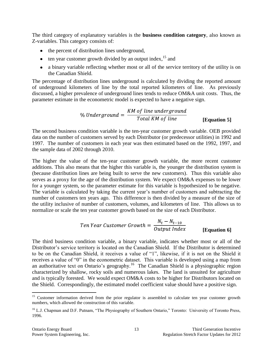The third category of explanatory variables is the **business condition category**, also known as Z-variables. This category consists of:

- the percent of distribution lines underground,
- $\bullet$  ten year customer growth divided by an output index,  $^{15}$  and
- a binary variable reflecting whether most or all of the service territory of the utility is on the Canadian Shield.

The percentage of distribution lines underground is calculated by dividing the reported amount of underground kilometers of line by the total reported kilometers of line. As previously discussed, a higher prevalence of underground lines tends to reduce OM&A unit costs. Thus, the parameter estimate in the econometric model is expected to have a negative sign.

**[Equation 5]**

The second business condition variable is the ten-year customer growth variable. OEB provided data on the number of customers served by each Distributor (or predecessor utilities) in 1992 and 1997. The number of customers in each year was then estimated based on the 1992, 1997, and the sample data of 2002 through 2010.

The higher the value of the ten-year customer growth variable, the more recent customer additions. This also means that the higher this variable is, the younger the distribution system is (because distribution lines are being built to serve the new customers). Thus this variable also serves as a proxy for the age of the distribution system. We expect OM&A expenses to be lower for a younger system, so the parameter estimate for this variable is hypothesized to be negative. The variable is calculated by taking the current year's number of customers and subtracting the number of customers ten years ago. This difference is then divided by a measure of the size of the utility inclusive of number of customers, volumes, and kilometers of line. This allows us to normalize or scale the ten year customer growth based on the size of each Distributor.

*Ten Year Customer Growth* = 
$$
\frac{N_t - N_{t-10}}{Output \ Index}
$$
 [Equation 6]

The third business condition variable, a binary variable, indicates whether most or all of the Distributor's service territory is located on the Canadian Shield. If the Distributor is determined to be on the Canadian Shield, it receives a value of "1", likewise, if it is not on the Shield it receives a value of "0" in the econometric dataset. This variable is developed using a map from an authoritative text on Ontario's geography.<sup>16</sup> The Canadian Shield is a physiographic region characterized by shallow, rocky soils and numerous lakes. The land is unsuited for agriculture and is typically forested. We would expect OM&A costs to be higher for Distributors located on the Shield. Correspondingly, the estimated model coefficient value should have a positive sign.

<sup>&</sup>lt;sup>15</sup> Customer information derived from the prior regulator is assembled to calculate ten year customer growth numbers, which allowed the construction of this variable.

<sup>&</sup>lt;sup>16</sup> L.J. Chapman and D.F. Putnam, "The Physiography of Southern Ontario," Toronto: University of Toronto Press, 1996.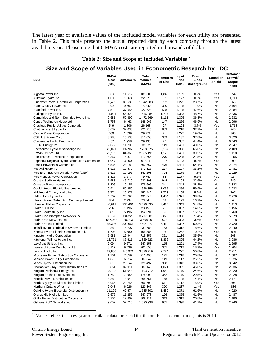The latest year of available values of the included model variables for each utility are presented in [Table 2.](#page-16-0) This table presents the actual reported data by each company through the latest available year. Please note that OM&A costs are reported in thousands of dollars.

### **Table 2: Size and Scope of Included Variables<sup>17</sup>**

### **Size and Scope of Variables Used in Econometric Research by LDC**

<span id="page-16-0"></span>

| <b>LDC</b>                                       | OM&A<br>Cost<br>(000) | <b>Customers</b> | Total<br>Volume<br>(MWh) | Kilometers<br>of Line | Input<br>Price<br>Index |       | Canadian<br>Shield | Customer<br>Growth/<br>Output<br>Index |
|--------------------------------------------------|-----------------------|------------------|--------------------------|-----------------------|-------------------------|-------|--------------------|----------------------------------------|
| Algoma Power Inc.                                | 8,688                 | 11,612           | 181,305                  | 1,848                 | 1.109                   | 0.2%  | Yes                | 254                                    |
| Atikokan Hydro Inc.                              | 1,000                 | 1,663            | 22,578                   | 92                    | 1.177                   | 0.5%  | Yes                | $-1,711$                               |
| <b>Bluewater Power Distribution Corporation</b>  | 10,402                | 35,688           | 1,042,583                | 752                   | 1.275                   | 23.7% | No                 | 668                                    |
| Brant County Power Inc.                          | 3,999                 | 9,667            | 277,058                  | 320                   | 1.195                   | 11.9% | <b>No</b>          | 2,164                                  |
| Brantford Power Inc.                             | 7,519                 | 37,654           | 920,628                  | 508                   | 1.195                   | 47.6% | <b>No</b>          | 2,084                                  |
| Burlington Hydro Inc.                            | 14,024                | 64,329           | 1,646,384                | 1,727                 | 1.343                   | 48.7% | No                 | 2,836                                  |
| Cambridge and North Dumfries Hydro Inc.          | 9,581                 | 50,890           | 1,472,569                | 1,111                 | 1.305                   | 36.3% | <b>No</b>          | 2,632                                  |
| Centre Wellington Hydro Ltd.                     | 1,758                 | 6,463            | 148,965                  | 147                   | 1.256                   | 46.9% | <b>No</b>          | 2,996                                  |
| Chapleau Public Utilities Corporation            | 549                   | 1,306            | 26,168                   | 27                    | 1.193                   | 3.7%  | Yes                | $-1,718$                               |
| Chatham-Kent Hydro Inc.                          | 6,632                 | 32,033           | 720,716                  | 883                   | 1.218                   | 32.2% | No                 | 240                                    |
| <b>Clinton Power Corporation</b>                 | 559                   | 1,639            | 29,771                   | 21                    | 1.225                   | 19.0% | <b>No</b>          | 365                                    |
| COLLUS Power Corp.                               | 3,988                 | 15,533           | 313,058                  | 339                   | 1.137                   | 37.8% | <b>No</b>          | 3,320                                  |
| Cooperative Hydro Embrun Inc.                    | 467                   | 1,958            | 29,136                   | 27                    | 1.387                   | 44.4% | No                 | 6,443                                  |
| E.L.K. Energy Inc.                               | 2,072                 | 11,205           | 238,626                  | 149                   | 1.431                   | 40.3% | <b>No</b>          | 2,347                                  |
| Enersource Hydro Mississauga Inc.                | 45,021                | 192,960          | 7,708,675                | 5.167                 | 1.398                   | 65.0% | <b>No</b>          | 2,409                                  |
| EnWin Utilities Ltd.                             | 22,195                | 84,866           | 2,585,491                | 1,179                 | 1.431                   | 39.5% | No                 | 1,118                                  |
| Erie Thames Powerlines Corporation               | 4,367                 | 14,373           | 417,666                  | 270                   | 1.225                   | 21.5% | <b>No</b>          | 1,355                                  |
| Espanola Regional Hydro Distribution Corporation | 1,047                 | 3,300            | 61,011                   | 137                   | 1.193                   | 8.0%  | Yes                | 209                                    |
| <b>Essex Powerlines Corporation</b>              | 5,535                 | 28,183           | 562,667                  | 476                   | 1.431                   | 54.4% | <b>No</b>          | 2,074                                  |
| Festival Hydro Inc.                              | 3,915                 | 19,579           | 572,327                  | 277                   | 1.197                   | 33.2% | <b>No</b>          | 1,481                                  |
| Fort Erie - Eastern Ontario Power (CNP)          | 5,516                 | 19,196           | 341,203                  | 704                   | 1.179                   | 7.8%  | <b>No</b>          | 1,029                                  |
| Fort Frances Power Corporation                   | 1,315                 | 3,777            | 79,740                   | 84                    | 1.177                   | 9.5%  | Yes                | 15                                     |
| Greater Sudbury Hydro Inc.                       | 7,588                 | 46,710           | 930,393                  | 944                   | 1.193                   | 22.6% | Yes                | 249                                    |
| Grimsby Power Incorporated                       | 1,806                 | 10,151           | 179,606                  | 241                   | 1.343                   | 28.2% | No                 | 3,323                                  |
| Guelph Hydro Electric Systems Inc.               | 9,914                 | 50,250           | 1,626,356                | 1,065                 | 1.256                   | 59.9% | No                 | 3,232                                  |
| Haldimand County Hydro Inc.                      | 6,774                 | 20,971           | 457,442                  | 1,723                 | 1.195                   | 5.2%  | No                 | 707                                    |
| Halton Hills Hydro Inc.                          | 4,509                 | 20,790           | 490,643                  | 1,404                 | 1.371                   | 38.8% | <b>No</b>          | 2,279                                  |
| Hearst Power Distribution Company Limited        | 804                   | 2,734            | 73,848                   | 68                    | 1.193                   | 16.2% | Yes                | -9                                     |
| Horizon Utilities Corporation                    | 40,611                | 234,464          | 5,696,035                | 3,415                 | 1.343                   | 54.8% | No                 | 1,113                                  |
| Hydro 2000 Inc.                                  | 296                   | 1,196            | 23,153                   | 21                    | 1.087                   | 14.3% | <b>No</b>          | 1,456                                  |
|                                                  | 861                   | 5,496            |                          | 66                    |                         | 15.2% | No                 | 1,760                                  |
| Hydro Hawkesbury Inc.                            |                       |                  | 152,091                  |                       | 1.087                   | 71.4% | No                 |                                        |
| Hydro One Brampton Networks Inc.                 | 18,726                | 134,228          | 3,777,081                | 2,823                 | 1.398                   |       |                    | 5,579                                  |
| Hydro One Networks Inc.                          | 547,947               | 1,203,030        | 23,408,001               | 120,921               | 1.323                   | 3.5%  | Yes                | 1,018                                  |
| Hydro Ottawa Limited                             | 55,336                | 300,664          | 7,594,977                | 5,414                 | 1.387                   | 50.3% | No                 | 2,720                                  |
| Innisfil Hydro Distribution Systems Limited      | 3,882                 | 14,707           | 231,788                  | 753                   | 1.312                   | 18.6% | No                 | 2,040                                  |
| Kenora Hydro Electric Corporation Ltd.           | 1,704                 | 5,580            | 105,584                  | 98                    | 1.252                   | 10.2% | Yes                | $-826$                                 |
| Kingston Hydro Corporation                       | 5,981                 | 26,944           | 715,855                  | 361                   | 1.136                   | 35.5% | <b>No</b>          | 263                                    |
| Kitchener-Wilmot Hydro Inc.                      | 12,761                | 86,611           | 1,829,523                | 1,866                 | 1.305                   | 44.2% | <b>No</b>          | 3,086                                  |
| Lakefront Utilities Inc.                         | 2,094                 | 9,571            | 247,158                  | 115                   | 1.201                   | 17.4% | <b>No</b>          | 2,695                                  |
| Lakeland Power Distribution Ltd.                 | 3,117                 | 9,439            | 203,653                  | 355                   | 1.212                   | 18.9% | Yes                | 1,204                                  |
| London Hydro Inc.                                | 29,866                | 146,974          | 3,376,719                | 2,774                 | 1.225                   | 50.8% | No                 | 2,211                                  |
| Middlesex Power Distribution Corporation         | 1,701                 | 7,859            | 211,490                  | 125                   | 1.218                   | 20.8% | <b>No</b>          | 1,687                                  |
| Midland Power Utility Corporation                | 1,878                 | 6,914            | 207,342                  | 149                   | 1.117                   | 25.5% | <b>No</b>          | 1,926                                  |
| Milton Hydro Distribution Inc.                   | 5,616                 | 29,142           | 728,497                  | 938                   | 1.343                   | 38.6% | No                 | 8,042                                  |
| Newmarket - Tay Power Distribution Ltd.          | 6,861                 | 32,911           | 687,145                  | 1,071                 | 1.355                   | 45.0% | No                 | 2,936                                  |
| Niagara Peninsula Energy Inc.                    | 13,722                | 51,048           | 1,193,712                | 1,950                 | 1.179                   | 24.6% | <b>No</b>          | 2,320                                  |
| Niagara-on-the-Lake Hydro Inc.                   | 1,759                 | 7,882            | 178,009                  | 342                   | 1.179                   | 29.5% | No                 | 2,328                                  |
| Norfolk Power Distribution Inc.                  | 4,880                 | 18,940           | 368,751                  | 768                   | 1.195                   | 14.1% | No                 | 2,171                                  |
| North Bay Hydro Distribution Limited             | 4,965                 | 23,754           | 566,702                  | 611                   | 1.112                   | 15.9% | Yes                | 396                                    |
| Northern Ontario Wires Inc.                      | 2,043                 | 6,026            | 123,365                  | 370                   | 1.237                   | 1.4%  | Yes                | $-836$                                 |
| Oakville Hydro Electricity Distribution Inc.     | 11,209                | 62,674           | 1,535,802                | 1,439                 | 1.371                   | 61.6% | No                 | 4,020                                  |
| Orangeville Hydro Limited                        | 2,576                 | 11,256           | 247,978                  | 176                   | 1.355                   | 41.5% | <b>No</b>          | 2,487                                  |
| Orillia Power Distribution Corporation           | 4,204                 | 12,862           | 309,111                  | 313                   | 1.312                   | 20.8% | <b>No</b>          | 1,180                                  |
| Oshawa PUC Networks Inc.                         | 9,052                 | 52,710           | 1,090,938                | 955                   | 1.398                   | 41.2% | No                 | 2,240                                  |

 $17$  Values reflect the latest year of available data for each Distributor. For most companies, this is 2010.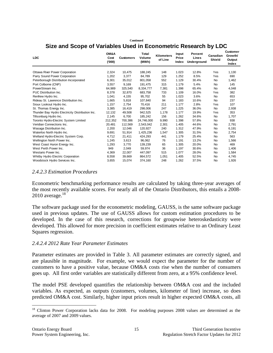**Continued**

### **Size and Scope of Variables Used in Econometric Research by LDC**

| <b>LDC</b>                                      | OM&A<br>Cost<br>('000) | <b>Customers</b> | Total<br>Volume<br>(MWh) | <b>Kilometers</b><br>of Line | Input<br>Price<br>Index | Percent<br>Lines<br>Underground | Canadian<br><b>Shield</b> | <b>Customer</b><br>Growth/<br>Output<br>Index |
|-------------------------------------------------|------------------------|------------------|--------------------------|------------------------------|-------------------------|---------------------------------|---------------------------|-----------------------------------------------|
|                                                 |                        |                  |                          |                              |                         |                                 |                           |                                               |
| <b>Ottawa River Power Corporation</b>           | 2,324                  | 10,475           | 188,245                  | 148                          | 1.023                   | 12.8%                           | Yes                       | 1,130                                         |
| Parry Sound Power Corporation                   | 1,202                  | 3,377            | 84,789                   | 129                          | 1.252                   | 8.5%                            | Yes                       | 690                                           |
| Peterborough Distribution Incorporated          | 6,301                  | 35,012           | 801,058                  | 552                          | 1.129                   | 30.4%                           | <b>No</b>                 | 1,462                                         |
| Port Colborne (CNP)                             | 3,557                  | 9,169            | 191,475                  | 315                          | 1.179                   | 5.4%                            | <b>No</b>                 | 145                                           |
| PowerStream Inc.                                | 64,989                 | 325,540          | 8,334,777                | 7,381                        | 1.398                   | 65.4%                           | <b>No</b>                 | 4,048                                         |
| PUC Distribution Inc.                           | 8,378                  | 32,870           | 683,758                  | 733                          | 1.109                   | 16.0%                           | Yes                       | 382                                           |
| Renfrew Hydro Inc.                              | 1.041                  | 4,155            | 95.702                   | 55                           | 1.023                   | 3.6%                            | <b>No</b>                 | 653                                           |
| Rideau St. Lawrence Distribution Inc.           | 1,665                  | 5,818            | 107,840                  | 94                           | 1.183                   | 10.6%                           | <b>No</b>                 | 237                                           |
| Sioux Lookout Hydro Inc.                        | 1,157                  | 2.754            | 70.416                   | 211                          | 1.177                   | 2.8%                            | Yes                       | 107                                           |
| St. Thomas Energy Inc.                          | 3,385                  | 16,419           | 298,006                  | 247                          | 1.225                   | 36.0%                           | <b>No</b>                 | 2,938                                         |
| Thunder Bay Hydro Electricity Distribution Inc. | 12,132                 | 49,508           | 942,525                  | 1,178                        | 1.177                   | 19.9%                           | Yes                       | 353                                           |
| Tillsonburg Hydro Inc.                          | 2.145                  | 6.700            | 185.242                  | 156                          | 1.262                   | 34.6%                           | <b>No</b>                 | 1,707                                         |
| Toronto Hydro-Electric System Limited           | 212,352                | 700,386          | 24,746,000               | 9,990                        | 1.398                   | 57.8%                           | <b>No</b>                 | 938                                           |
| Veridian Connections Inc.                       | 20.481                 | 112,569          | 2,543,042                | 2,301                        | 1.405                   | 44.6%                           | <b>No</b>                 | 2,791                                         |
| Wasaga Distribution Inc.                        | 2,200                  | 12,046           | 120,927                  | 240                          | 1.312                   | 47.9%                           | No                        | 6,191                                         |
| Waterloo North Hydro Inc.                       | 9,691                  | 51,914           | 1,425,236                | 1,547                        | 1.305                   | 31.5%                           | <b>No</b>                 | 2,754                                         |
| Welland Hydro-Electric System Corp.             | 4.712                  | 21.411           | 424,293                  | 441                          | 1.179                   | 25.4%                           | <b>No</b>                 | 563                                           |
| Wellington North Power Inc.                     | 1,245                  | 3,613            | 96,062                   | 76                           | 1.191                   | 13.2%                           | No                        | 1,566                                         |
| West Coast Huron Energy Inc.                    | 1,293                  | 3,770            | 139,239                  | 65                           | 1.305                   | 20.0%                           | <b>No</b>                 | 469                                           |
| West Perth Power Inc.                           | 949                    | 2,049            | 59,974                   | 36                           | 1.197                   | 30.6%                           | <b>No</b>                 | 1,406                                         |
| Westario Power Inc.                             | 4,369                  | 22,007           | 447,097                  | 515                          | 1.077                   | 28.0%                           | <b>No</b>                 | 1,584                                         |
| Whitby Hydro Electric Corporation               | 8,558                  | 39,669           | 864,572                  | 1,051                        | 1.405                   | 52.5%                           | <b>No</b>                 | 4,745                                         |
| Woodstock Hydro Services Inc.                   | 3.655                  | 15.074           | 374.160                  | 248                          | 1.262                   | 37.5%                           | <b>No</b>                 | 1,926                                         |

#### <span id="page-17-0"></span>*2.4.2.3 Estimation Procedures*

Econometric benchmarking performance results are calculated by taking three-year averages of the most recently available scores. For nearly all of the Ontario Distributors, this entails a 2008-  $2010$  average.<sup>18</sup>

The software package used for the econometric modeling, GAUSS, is the same software package used in previous updates. The use of GAUSS allows for custom estimation procedures to be developed. In the case of this research, corrections for groupwise heteroskedasticity were developed. This allowed for more precision in coefficient estimates relative to an Ordinary Least Squares regression.

#### <span id="page-17-1"></span>*2.4.2.4 2012 Rate Year Parameter Estimates*

Parameter estimates are provided in [Table 3.](#page-18-0) All parameter estimates are correctly signed, and are plausible in magnitude. For example, we would expect the parameter for the number of customers to have a positive value, because OM&A costs rise when the number of consumers goes up. All first order variables are statistically different from zero, at a 95% confidence level.

The model PSE developed quantifies the relationship between OM&A cost and the included variables. As expected, as outputs (customers, volumes, kilometer of line) increase, so does predicted OM&A cost. Similarly, higher input prices result in higher expected OM&A costs, all

 $\overline{a}$ <sup>18</sup> Clinton Power Corporation lacks data for 2008. For modeling purposes 2008 values are determined as the average of 2007 and 2009 values.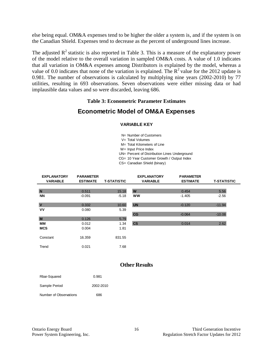else being equal. OM&A expenses tend to be higher the older a system is, and if the system is on the Canadian Shield. Expenses tend to decrease as the percent of underground lines increase.

The adjusted  $\mathbb{R}^2$  statistic is also reported in [Table 3.](#page-18-0) This is a measure of the explanatory power of the model relative to the overall variation in sampled OM&A costs. A value of 1.0 indicates that all variation in OM&A expenses among Distributors is explained by the model, whereas a value of 0.0 indicates that none of the variation is explained. The  $R^2$  value for the 2012 update is 0.981. The number of observations is calculated by multiplying nine years (2002-2010) by 77 utilities, resulting in 693 observations. Seven observations were either missing data or had implausible data values and so were discarded, leaving 686.

#### **Table 3: Econometric Parameter Estimates**

### <span id="page-18-0"></span>**Econometric Model of OM&A Expenses**

# **VARIABLE KE**<br>N= Number of Cus<br>V= Total Volumes<br>M= Total Kilomete **VARIABLE KEY**

N= Number of Customers

M= Total Kilometers of Line V= Total Volumes<br>M= Total Kilometers o<br>W= Input Price Index

UN= Percent of Distribution Lines Underground

CG= 10 Year Customer Growth / Output Index

CS= Canadian Shield (binary)

| <b>PARAMETER</b><br><b>ESTIMATE</b> | <b>T-STATISTIC</b> | <b>EXPLANATORY</b><br><b>VARIABLE</b> | <b>PARAMETER</b><br><b>ESTIMATE</b> | <b>T-STATISTIC</b> |
|-------------------------------------|--------------------|---------------------------------------|-------------------------------------|--------------------|
|                                     |                    |                                       |                                     |                    |
| 0.511                               | 15.18              | W                                     | 0.454                               | 5.56               |
| $-0.091$                            | $-5.18$            | <b>WW</b>                             | $-1.405$                            | $-2.56$            |
|                                     |                    |                                       |                                     |                    |
| 0.332                               | 10.60              | <b>UN</b>                             | $-0.120$                            | $-11.94$           |
| 0.080                               | 5.39               |                                       |                                     |                    |
|                                     |                    | CG                                    | $-0.064$                            | $-10.08$           |
| 0.126                               | 5.79               |                                       |                                     |                    |
| 0.012                               | 1.34               | $\mathbf{c}\mathbf{s}$                | 0.014                               | 2.62               |
| 0.004                               | 1.81               |                                       |                                     |                    |
|                                     |                    |                                       |                                     |                    |
| 16.359                              | 831.55             |                                       |                                     |                    |
|                                     |                    |                                       |                                     |                    |
| 0.021                               | 7.68               |                                       |                                     |                    |
|                                     |                    |                                       |                                     |                    |

### **Other Results**

| Rbar-Squared           | 0.981     |
|------------------------|-----------|
| Sample Period          | 2002-2010 |
| Number of Observations | 686       |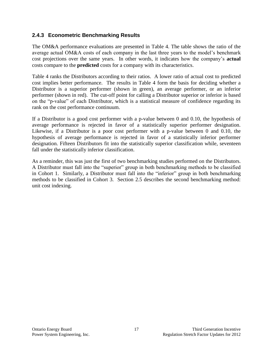### <span id="page-19-0"></span>**2.4.3 Econometric Benchmarking Results**

The OM&A performance evaluations are presented in [Table 4.](#page-20-0) The table shows the ratio of the average actual OM&A costs of each company in the last three years to the model's benchmark cost projections over the same years. In other words, it indicates how the company's **actual** costs compare to the **predicted** costs for a company with its characteristics.

[Table 4](#page-20-0) ranks the Distributors according to their ratios. A lower ratio of actual cost to predicted cost implies better performance. The results in Table 4 form the basis for deciding whether a Distributor is a superior performer (shown in green), an average performer, or an inferior performer (shown in red). The cut-off point for calling a Distributor superior or inferior is based on the "p-value" of each Distributor, which is a statistical measure of confidence regarding its rank on the cost performance continuum.

If a Distributor is a good cost performer with a p-value between 0 and 0.10, the hypothesis of average performance is rejected in favor of a statistically superior performer designation. Likewise, if a Distributor is a poor cost performer with a p-value between 0 and 0.10, the hypothesis of average performance is rejected in favor of a statistically inferior performer designation. Fifteen Distributors fit into the statistically superior classification while, seventeen fall under the statistically inferior classification.

As a reminder, this was just the first of two benchmarking studies performed on the Distributors. A Distributor must fall into the "superior" group in both benchmarking methods to be classified in Cohort 1. Similarly, a Distributor must fall into the "inferior" group in both benchmarking methods to be classified in Cohort 3. Section [2.5](#page-22-0) describes the second benchmarking method: unit cost indexing.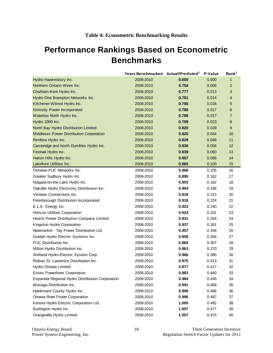## <span id="page-20-0"></span>**Performance Rankings Based on Econometric Benchmarks**

|                                                  | Years Benchmarked Actual/Predicted <sup>1</sup> |       | P-Value | Rank <sup>1</sup> |
|--------------------------------------------------|-------------------------------------------------|-------|---------|-------------------|
| Hydro Hawkesbury Inc.                            | 2008-2010                                       | 0.600 | 0.000   | $\mathbf{1}$      |
| Northern Ontario Wires Inc.                      | 2008-2010                                       | 0.754 | 0.006   | $\overline{2}$    |
| Chatham-Kent Hydro Inc.                          | 2008-2010                                       | 0.777 | 0.013   | 3                 |
| Hydro One Brampton Networks Inc.                 | 2008-2010                                       | 0.781 | 0.014   | 4                 |
| Kitchener-Wilmot Hydro Inc.                      | 2008-2010                                       | 0.785 | 0.016   | 5                 |
| <b>Grimsby Power Incorporated</b>                | 2008-2010                                       | 0.786 | 0.017   | 6                 |
| Waterloo North Hydro Inc.                        | 2008-2010                                       | 0.788 | 0.017   | $\overline{7}$    |
| Hydro 2000 Inc.                                  | 2008-2010                                       | 0.799 | 0.023   | 8                 |
| North Bay Hydro Distribution Limited             | 2008-2010                                       | 0.820 | 0.039   | 9                 |
| <b>Middlesex Power Distribution Corporation</b>  | 2008-2010                                       | 0.825 | 0.044   | 10                |
| Renfrew Hydro Inc.                               | 2008-2010                                       | 0.829 | 0.048   | 11                |
| Cambridge and North Dumfries Hydro Inc.          | 2008-2010                                       | 0.836 | 0.056   | 12                |
| Festival Hydro Inc.                              | 2008-2010                                       | 0.839 | 0.060   | 13                |
| Halton Hills Hydro Inc.                          | 2008-2010                                       | 0.857 | 0.086   | 14                |
| Lakefront Utilities Inc.                         | 2008-2010                                       | 0.865 | 0.100   | 15                |
| Oshawa PUC Networks Inc.                         | 2008-2010                                       | 0.868 | 0.105   | 16                |
| Greater Sudbury Hydro Inc.                       | 2008-2010                                       | 0.895 | 0.162   | 17                |
| Niagara-on-the-Lake Hydro Inc.                   | 2008-2010                                       | 0.903 | 0.182   | 18                |
| Oakville Hydro Electricity Distribution Inc.     | 2008-2010                                       | 0.904 | 0.186   | 19                |
| Veridian Connections Inc.                        | 2008-2010                                       | 0.918 | 0.223   | 20                |
| Peterborough Distribution Incorporated           | 2008-2010                                       | 0.918 | 0.224   | 21                |
| E.L.K. Energy Inc.                               | 2008-2010                                       | 0.923 | 0.240   | 22                |
| Horizon Utilities Corporation                    | 2008-2010                                       | 0.924 | 0.241   | 23                |
| Hearst Power Distribution Company Limited        | 2008-2010                                       | 0.931 | 0.264   | 24                |
| Kingston Hydro Corporation                       | 2008-2010                                       | 0.937 | 0.281   | 25                |
| Newmarket - Tay Power Distribution Ltd.          | 2008-2010                                       | 0.957 | 0.349   | 26                |
| Guelph Hydro Electric Systems Inc.               | 2008-2010                                       | 0.959 | 0.356   | 27                |
| PUC Distribution Inc.                            | 2008-2010                                       | 0.960 | 0.357   | 28                |
| Milton Hydro Distribution Inc.                   | 2008-2010                                       | 0.963 | 0.370   | 29                |
| Welland Hydro-Electric System Corp.              | 2008-2010                                       | 0.966 | 0.380   | 30                |
| Rideau St. Lawrence Distribution Inc.            | 2008-2010                                       | 0.975 | 0.413   | 31                |
| Hydro Ottawa Limited                             | 2008-2010                                       | 0.977 | 0.417   | 32                |
| <b>Essex Powerlines Corporation</b>              | 2008-2010                                       | 0.983 | 0.440   | 33                |
| Espanola Regional Hydro Distribution Corporation | 2008-2010                                       | 0.984 | 0.445   | 34                |
| Wasaga Distribution Inc.                         | 2008-2010                                       | 0.991 | 0.468   | 35                |
| Haldimand County Hydro Inc.                      | 2008-2010                                       | 0.996 | 0.486   | 36                |
| Ottawa River Power Corporation                   | 2008-2010                                       | 0.996 | 0.487   | 37                |
| Kenora Hydro Electric Corporation Ltd.           | 2008-2010                                       | 1.005 | 0.482   | 38                |
| Burlington Hydro Inc.                            | 2008-2010                                       | 1.007 | 0.477   | 39                |
| Orangeville Hydro Limited                        | 2008-2010                                       | 1.007 | 0.475   | 40                |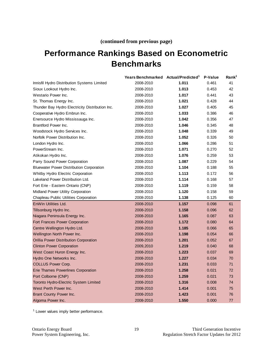### **(continued from previous page)**

## **Performance Rankings Based on Econometric Benchmarks**

|                                                 | Years Benchmarked Actual/Predicted <sup>1</sup> |       | P-Value | Rank <sup>1</sup> |
|-------------------------------------------------|-------------------------------------------------|-------|---------|-------------------|
| Innisfil Hydro Distribution Systems Limited     | 2008-2010                                       | 1.011 | 0.461   | 41                |
| Sioux Lookout Hydro Inc.                        | 2008-2010                                       | 1.013 | 0.453   | 42                |
| Westario Power Inc.                             | 2008-2010                                       | 1.017 | 0.441   | 43                |
| St. Thomas Energy Inc.                          | 2008-2010                                       | 1.021 | 0.428   | 44                |
| Thunder Bay Hydro Electricity Distribution Inc. | 2008-2010                                       | 1.027 | 0.405   | 45                |
| Cooperative Hydro Embrun Inc.                   | 2008-2010                                       | 1.033 | 0.386   | 46                |
| Enersource Hydro Mississauga Inc.               | 2008-2010                                       | 1.042 | 0.356   | 47                |
| Brantford Power Inc.                            | 2008-2010                                       | 1.046 | 0.345   | 48                |
| Woodstock Hydro Services Inc.                   | 2008-2010                                       | 1.048 | 0.339   | 49                |
| Norfolk Power Distribution Inc.                 | 2008-2010                                       | 1.052 | 0.326   | 50                |
| London Hydro Inc.                               | 2008-2010                                       | 1.066 | 0.286   | 51                |
| PowerStream Inc.                                | 2008-2010                                       | 1.071 | 0.270   | 52                |
| Atikokan Hydro Inc.                             | 2008-2010                                       | 1.076 | 0.259   | 53                |
| Parry Sound Power Corporation                   | 2008-2010                                       | 1.087 | 0.229   | 54                |
| <b>Bluewater Power Distribution Corporation</b> | 2008-2010                                       | 1.104 | 0.188   | 55                |
| Whitby Hydro Electric Corporation               | 2008-2010                                       | 1.113 | 0.172   | 56                |
| Lakeland Power Distribution Ltd.                | 2008-2010                                       | 1.114 | 0.168   | 57                |
| Fort Erie - Eastern Ontario (CNP)               | 2008-2010                                       | 1.119 | 0.159   | 58                |
| <b>Midland Power Utility Corporation</b>        | 2008-2010                                       | 1.120 | 0.158   | 59                |
| Chapleau Public Utilities Corporation           | 2008-2010                                       | 1.138 | 0.125   | 60                |
| <b>EnWin Utilities Ltd.</b>                     | 2008-2010                                       | 1.157 | 0.098   | 61                |
| Tillsonburg Hydro Inc.                          | 2008-2010                                       | 1.158 | 0.096   | 62                |
| Niagara Peninsula Energy Inc.                   | 2008-2010                                       | 1.165 | 0.087   | 63                |
| Fort Frances Power Corporation                  | 2008-2010                                       | 1.172 | 0.080   | 64                |
| Centre Wellington Hydro Ltd.                    | 2008-2010                                       | 1.185 | 0.066   | 65                |
| Wellington North Power Inc.                     | 2008-2010                                       | 1.198 | 0.054   | 66                |
| Orillia Power Distribution Corporation          | 2008-2010                                       | 1.201 | 0.052   | 67                |
| <b>Clinton Power Corporation</b>                | 2009,2010                                       | 1.219 | 0.040   | 68                |
| West Coast Huron Energy Inc.                    | 2008-2010                                       | 1.223 | 0.037   | 69                |
| Hydro One Networks Inc.                         | 2008-2010                                       | 1.227 | 0.034   | 70                |
| <b>COLLUS Power Corp.</b>                       | 2008-2010                                       | 1.231 | 0.033   | 71                |
| <b>Erie Thames Powerlines Corporation</b>       | 2008-2010                                       | 1.258 | 0.021   | 72                |
| Port Colborne (CNP)                             | 2008-2010                                       | 1.259 | 0.021   | 73                |
| <b>Toronto Hydro-Electric System Limited</b>    | 2008-2010                                       | 1.316 | 0.008   | 74                |
| West Perth Power Inc.                           | 2008-2010                                       | 1.414 | 0.001   | 75                |
| Brant County Power Inc.                         | 2008-2010                                       | 1.423 | 0.001   | 76                |
| Algoma Power Inc.                               | 2008-2010                                       | 1.550 | 0.000   | 77                |

<sup>1</sup> Lower values imply better performance.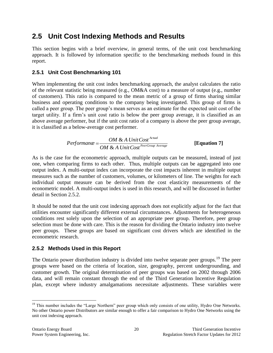### <span id="page-22-0"></span>**2.5 Unit Cost Indexing Methods and Results**

This section begins with a brief overview, in general terms, of the unit cost benchmarking approach. It is followed by information specific to the benchmarking methods found in this report.

### <span id="page-22-1"></span>**2.5.1 Unit Cost Benchmarking 101**

When implementing the unit cost index benchmarking approach, the analyst calculates the ratio of the relevant statistic being measured (e.g., OM&A cost) to a measure of output (e.g., number of customers). This ratio is compared to the mean metric of a group of firms sharing similar business and operating conditions to the company being investigated. This group of firms is called a peer group. The peer group's mean serves as an estimate for the expected unit cost of the target utility. If a firm's unit cost ratio is below the peer group average, it is classified as an above average performer, but if the unit cost ratio of a company is above the peer group average, it is classified as a below-average cost performer.

$$
Performance = \frac{OM \& A Unit Cost^{Actual}}{OM \& A Unit Cost^{PerGroup Average}}
$$
 [Equation 7]

As is the case for the econometric approach, multiple outputs can be measured, instead of just one, when comparing firms to each other. Thus, multiple outputs can be aggregated into one output index. A multi-output index can incorporate the cost impacts inherent in multiple output measures such as the number of customers, volumes, or kilometers of line. The weights for each individual output measure can be derived from the cost elasticity measurements of the econometric model. A multi-output index is used in this research, and will be discussed in further detail in Section 2.5.2.

It should be noted that the unit cost indexing approach does not explicitly adjust for the fact that utilities encounter significantly different external circumstances. Adjustments for heterogeneous conditions rest solely upon the selection of an appropriate peer group. Therefore, peer group selection must be done with care. This is the reason for dividing the Ontario industry into twelve peer groups. These groups are based on significant cost drivers which are identified in the econometric research.

### <span id="page-22-2"></span>**2.5.2 Methods Used in this Report**

The Ontario power distribution industry is divided into twelve separate peer groups.<sup>19</sup> The peer groups were based on the criteria of location, size, geography, percent undergrounding, and customer growth. The original determination of peer groups was based on 2002 through 2006 data, and will remain constant through the end of the Third Generation Incentive Regulation plan, except where industry amalgamations necessitate adjustments. These variables were

<sup>&</sup>lt;sup>19</sup> This number includes the "Large Northern" peer group which only consists of one utility, Hydro One Networks. No other Ontario power Distributors are similar enough to offer a fair comparison to Hydro One Networks using the unit cost indexing approach.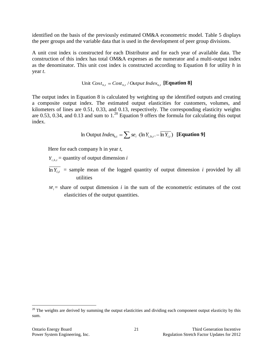identified on the basis of the previously estimated OM&A econometric model. [Table 5](#page-24-0) displays the peer groups and the variable data that is used in the development of peer group divisions.

A unit cost index is constructed for each Distributor and for each year of available data. The construction of this index has total OM&A expenses as the numerator and a multi-output index as the denominator. This unit cost index is constructed according to Equation 8 for utility *h* in year *t*.

Unit 
$$
\text{Cost}_{h,t} = \text{Cost}_{h,t} / \text{Output Index}_{h,t}
$$
 [Equation 8]

The output index in Equation 8 is calculated by weighting up the identified outputs and creating a composite output index. The estimated output elasticities for customers, volumes, and kilometers of lines are 0.51, 0.33, and 0.13, respectively. The corresponding elasticity weights are 0.53, 0.34, and 0.13 and sum to  $1.^{20}$  Equation 9 offers the formula for calculating this output index.

In Output 
$$
Index_{h,t} = \sum_{i} s e_i \cdot (\ln Y_{i,h,t} - \overline{\ln Y_{i,t}})
$$
 [Equation 9]

Here for each company h in year *t*,

 $Y_{i, h, t}$  = quantity of output dimension *i* 

- $\ln Y_{i,t}$  = sample mean of the logged quantity of output dimension *i* provided by all utilities
- $se_i$  = share of output dimension *i* in the sum of the econometric estimates of the cost elasticities of the output quantities.

 $20$  The weights are derived by summing the output elasticities and dividing each component output elasticity by this sum.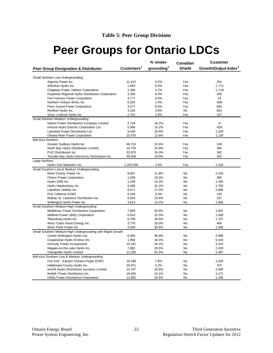# <span id="page-24-0"></span>**Peer Groups for Ontario LDCs**

|                                                             |                        | % Under-               | Canadian      | <b>Customer</b>                  |
|-------------------------------------------------------------|------------------------|------------------------|---------------|----------------------------------|
| <b>Peer Group Designation &amp; Distributor</b>             | Customers <sup>1</sup> | grounding <sup>1</sup> | <b>Shield</b> | Growth/Output Index <sup>1</sup> |
| Small Northern Low Undergrounding                           |                        |                        |               |                                  |
| Algoma Power Inc.                                           | 11,612                 | 0.2%                   | Yes           | 254                              |
| Atikokan Hydro Inc.                                         | 1,663                  | 0.5%                   | Yes           | $-1,711$                         |
| Chapleau Public Utilities Corporation                       | 1,306                  | 3.7%                   | Yes           | $-1,718$                         |
| Espanola Regional Hydro Distribution Corporation            | 3,300                  | 8.0%                   | Yes           | 209                              |
| Fort Frances Power Corporation                              | 3,777                  | 9.5%                   | Yes           | 15                               |
| Northern Ontario Wires Inc.                                 | 6,026                  | 1.4%                   | Yes           | $-836$                           |
| Parry Sound Power Corporation                               | 3,377                  | 8.5%                   | Yes           | 690                              |
| Renfrew Hydro Inc.                                          | 4,155                  | 3.6%                   | <b>No</b>     | 653                              |
| Sioux Lookout Hydro Inc.                                    | 2,754                  | 2.8%                   | Yes           | 107                              |
| Small Northern Medium Undergrounding                        |                        |                        |               |                                  |
| Hearst Power Distribution Company Limited                   | 2,734                  | 16.2%                  | Yes           | -9                               |
| Kenora Hydro Electric Corporation Ltd.                      | 5,580                  | 10.2%                  | Yes           | $-826$                           |
| Lakeland Power Distribution Ltd.                            | 9,439                  | 18.9%                  | Yes           | 1,204                            |
| Ottawa River Power Corporation                              | 10,475                 | 12.8%                  | Yes           | 1,130                            |
| Mid-Size Northern                                           |                        |                        |               |                                  |
| Greater Sudbury Hydro Inc.                                  | 46,710                 | 22.6%                  | Yes           | 249                              |
| North Bay Hydro Distribution Limited                        | 23,754                 | 15.9%                  | Yes           | 396                              |
| PUC Distribution Inc.                                       | 32,870                 | 16.0%                  | Yes           | 382                              |
| Thunder Bay Hydro Electricity Distribution Inc.             | 49,508                 | 19.9%                  | Yes           | 353                              |
| Large Northern                                              |                        |                        |               |                                  |
| Hydro One Networks Inc.                                     | 1,203,030              | 3.5%                   | Yes           | 1,018                            |
| Small Southern Low & Medium Undergrounding                  |                        |                        |               |                                  |
| Brant County Power Inc.                                     | 9,667                  | 11.9%                  | <b>No</b>     | 2,164                            |
| <b>Clinton Power Corporation</b>                            | 1,639                  | 19.0%                  | No            | 365                              |
| Hydro 2000 Inc.                                             | 1,196                  | 14.3%                  | No            | 1,456                            |
| Hydro Hawkesbury Inc.                                       | 5,496                  | 15.2%                  | <b>No</b>     | 1,760                            |
| Lakefront Utilities Inc.                                    | 9,571                  | 17.4%                  | <b>No</b>     | 2,695                            |
| Port Colborne (CNP)                                         | 9,169                  | 5.4%                   | No            | 145                              |
| Rideau St. Lawrence Distribution Inc.                       | 5,818                  | 10.6%                  | No            | 237                              |
| Wellington North Power Inc.                                 | 3,613                  | 13.2%                  | No            | 1,566                            |
| Small Southern Medium-High Undergrounding                   |                        |                        |               |                                  |
| Middlesex Power Distribution Corporation                    | 7,859                  | 20.8%                  | <b>No</b>     | 1,687                            |
| Midland Power Utility Corporation                           | 6,914                  | 25.5%                  | <b>No</b>     | 1,926                            |
| Tillsonburg Hydro Inc.                                      | 6,700                  | 34.6%                  | No            | 1,707                            |
| West Coast Huron Energy Inc.                                | 3,770                  | 20.0%                  | No            | 469                              |
| West Perth Power Inc.                                       | 2,049                  | 30.6%                  | No            | 1,406                            |
| Small Southern Medium-High Undergrounding with Rapid Growth |                        |                        |               |                                  |
| Centre Wellington Hydro Ltd.                                | 6,463                  | 46.9%                  | No            | 2,996                            |
| Cooperative Hydro Embrun Inc.                               | 1,958                  | 44.4%                  | No            | 6,443                            |
| Grimsby Power Incorporated                                  | 10,151                 | 28.2%                  | <b>No</b>     | 3,323                            |
| Niagara-on-the-Lake Hydro Inc.                              | 7,882                  | 29.5%                  | No            | 2,328                            |
| Orangeville Hydro Limited                                   | 11,256                 | 41.5%                  | No            | 2,487                            |
| Mid-size Southern Low & Medium Undergrounding               |                        |                        |               |                                  |
| Fort Erie - Eastern Ontario Power (CNP)                     | 19,196                 | 7.8%                   | No            | 1,029                            |
| Haldimand County Hydro Inc.                                 | 20,971                 | 5.2%                   | <b>No</b>     | 707                              |
| Innisfil Hydro Distribution Systems Limited                 | 14,707                 | 18.6%                  | No            | 2,040                            |
| Norfolk Power Distribution Inc.                             | 18,940                 | 14.1%                  | <b>No</b>     | 2,171                            |
| Orillia Power Distribution Corporation                      | 12,862                 | 20.8%                  | <b>No</b>     | 1,180                            |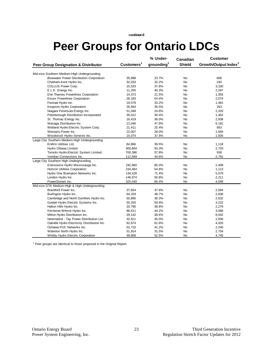**continued**

# **Peer Groups for Ontario LDCs**

|                                                 |                        | % Under-               | Canadian      | <b>Customer</b>                  |
|-------------------------------------------------|------------------------|------------------------|---------------|----------------------------------|
| <b>Peer Group Designation &amp; Distributor</b> | Customers <sup>1</sup> | grounding <sup>1</sup> | <b>Shield</b> | Growth/Output Index <sup>1</sup> |
| Mid-size Southern Medium-High Undergrounding    |                        |                        |               |                                  |
| <b>Bluewater Power Distribution Corporation</b> | 35,688                 | 23.7%                  | No            | 668                              |
| Chatham-Kent Hydro Inc.                         | 32,033                 | 32.2%                  | No            | 240                              |
| COLLUS Power Corp.                              | 15,533                 | 37.8%                  | No            | 3,320                            |
| E.L.K. Energy Inc.                              | 11,205                 | 40.3%                  | No            | 2,347                            |
| Erie Thames Powerlines Corporation              | 14,373                 | 21.5%                  | No            | 1,355                            |
| <b>Essex Powerlines Corporation</b>             | 28,183                 | 54.4%                  | No            | 2,074                            |
| Festival Hydro Inc.                             | 19,579                 | 33.2%                  | <b>No</b>     | 1,481                            |
| Kingston Hydro Corporation                      | 26,944                 | 35.5%                  | No            | 263                              |
| Niagara Peninsula Energy Inc.                   | 51,048                 | 24.6%                  | No            | 2,320                            |
| Peterborough Distribution Incorporated          | 35,012                 | 30.4%                  | No            | 1,462                            |
| St. Thomas Energy Inc.                          | 16,419                 | 36.0%                  | No            | 2,938                            |
| Wasaga Distribution Inc.                        | 12,046                 | 47.9%                  | No            | 6,191                            |
| Welland Hydro-Electric System Corp.             | 21,411                 | 25.4%                  | No            | 563                              |
| Westario Power Inc.                             | 22,007                 | 28.0%                  | No            | 1,584                            |
| Woodstock Hydro Services Inc.                   | 15,074                 | 37.5%                  | No            | 1,926                            |
| Large City Southern Medium-High Undergrounding  |                        |                        |               |                                  |
| EnWin Utilities Ltd.                            | 84,866                 | 39.5%                  | No            | 1,118                            |
| Hydro Ottawa Limited                            | 300,664                | 50.3%                  | No            | 2,720                            |
| Toronto Hydro-Electric System Limited           | 700,386                | 57.8%                  | No            | 938                              |
| Veridian Connections Inc.                       | 112,569                | 44.6%                  | No            | 2,791                            |
| Large City Southern High Undergrounding         |                        |                        |               |                                  |
| Enersource Hydro Mississauga Inc.               | 192,960                | 65.0%                  | No            | 2,409                            |
| Horizon Utilities Corporation                   | 234,464                | 54.8%                  | No            | 1,113                            |
| Hydro One Brampton Networks Inc.                | 134,228                | 71.4%                  | No            | 5,579                            |
| London Hydro Inc.                               | 146,974                | 50.8%                  | No            | 2,211                            |
| PowerStream Inc.                                | 325,540                | 65.4%                  | No            | 4,048                            |
| Mid-size GTA Medium-High & High Undergrounding  |                        |                        |               |                                  |
| Brantford Power Inc.                            | 37,654                 | 47.6%                  | No            | 2,084                            |
| Burlington Hydro Inc.                           | 64,329                 | 48.7%                  | No            | 2,836                            |
| Cambridge and North Dumfries Hydro Inc.         | 50,890                 | 36.3%                  | No            | 2,632                            |
| Guelph Hydro Electric Systems Inc.              | 50,250                 | 59.9%                  | No            | 3,232                            |
| Halton Hills Hydro Inc.                         | 20,790                 | 38.8%                  | <b>No</b>     | 2,279                            |
| Kitchener-Wilmot Hydro Inc.                     | 86,611                 | 44.2%                  | No            | 3,086                            |
| Milton Hydro Distribution Inc.                  | 29,142                 | 38.6%                  | No            | 8,042                            |
| Newmarket - Tay Power Distribution Ltd.         | 32,911                 | 45.0%                  | No            | 2,936                            |
| Oakville Hydro Electricity Distribution Inc.    | 62,674                 | 61.6%                  | No            | 4,020                            |
| Oshawa PUC Networks Inc.                        | 52,710                 | 41.2%                  | No            | 2,240                            |
| Waterloo North Hydro Inc.                       | 51,914                 | 31.5%                  | No            | 2,754                            |
| Whitby Hydro Electric Corporation               | 39,669                 | 52.5%                  | No            | 4,745                            |

 $1$  Peer groups are identical to those proposed in the Original Report.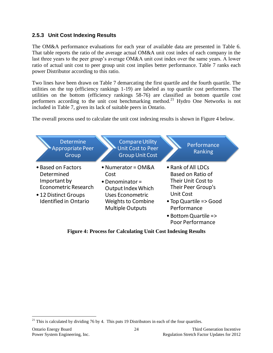### <span id="page-26-0"></span>**2.5.3 Unit Cost Indexing Results**

The OM&A performance evaluations for each year of available data are presented in [Table 6.](#page-27-0) That table reports the ratio of the average actual OM&A unit cost index of each company in the last three years to the peer group's average OM&A unit cost index over the same years. A lower ratio of actual unit cost to peer group unit cost implies better performance. Table 7 ranks each power Distributor according to this ratio.

Two lines have been drawn on Table 7 demarcating the first quartile and the fourth quartile. The utilities on the top (efficiency rankings 1-19) are labeled as top quartile cost performers. The utilities on the bottom (efficiency rankings 58-76) are classified as bottom quartile cost performers according to the unit cost benchmarking method.<sup>21</sup> Hydro One Networks is not included in [Table 7,](#page-29-0) given its lack of suitable peers in Ontario.

The overall process used to calculate the unit cost indexing results is shown in [Figure 4](#page-26-1) below.



<span id="page-26-1"></span>**Figure 4: Process for Calculating Unit Cost Indexing Results**

 $\overline{a}$ <sup>21</sup> This is calculated by dividing 76 by 4. This puts 19 Distributors in each of the four quartiles.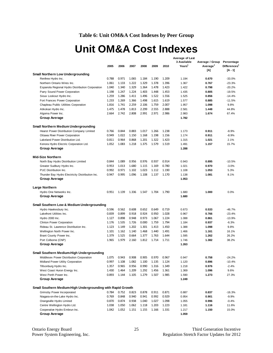**Table 6: Unit OM&A Cost Indexes by Peer Group**

## **Unit OM&A Cost Indexes**

<span id="page-27-0"></span>

|                                                             |       |       |       |       |       |       | Average of Last    |                      |                          |
|-------------------------------------------------------------|-------|-------|-------|-------|-------|-------|--------------------|----------------------|--------------------------|
|                                                             |       |       |       |       |       |       | 3 Available        | Average / Group      | Percentage               |
|                                                             | 2005  | 2006  | 2007  | 2008  | 2009  | 2010  | Years <sup>1</sup> | Average <sup>1</sup> | Differences <sup>1</sup> |
|                                                             |       |       |       |       |       |       |                    | ΙAΙ                  | $[A - 1]$                |
| <b>Small Northern Low Undergrounding</b>                    |       |       |       |       |       |       |                    |                      |                          |
| Renfrew Hydro Inc.                                          | 0.788 | 0.971 | 1.065 | 1.184 | 1.190 | 1.209 | 1.194              | 0.670                | $-33.0%$                 |
| Northern Ontario Wires Inc.                                 | 1.061 | 1.133 | 1.222 | 1.329 | 1.378 | 1.396 | 1.367              | 0.767                | $-23.3%$                 |
| Espanola Regional Hydro Distribution Corporation            | 1.040 | 1.340 | 1.329 | 1.364 | 1.478 | 1.423 | 1.422              | 0.798                | $-20.2%$                 |
| Parry Sound Power Corporation                               | 1.198 | 1.247 | 1.224 | 1.403 | 1.448 | 1.453 | 1.435              | 0.805                | $-19.5%$                 |
| Sioux Lookout Hydro Inc.                                    | 1.259 | 1.286 | 1.411 | 1.496 | 1.522 | 1.556 | 1.525              | 0.856                | $-14.4%$                 |
| Fort Frances Power Corporation                              | 1.233 | 1.269 | 1.366 | 1.498 | 1.615 | 1.619 | 1.577              | 0.885                | $-11.5%$                 |
| Chapleau Public Utilities Corporation                       | 1.816 | 1.741 | 2.259 | 2.106 | 1.759 | 2.007 | 1.957              | 1.098                | 9.8%                     |
| Atikokan Hydro Inc.                                         | 1.475 | 1.478 | 1.813 | 2.299 | 2.555 | 2.888 | 2.581              | 1.448                | 44.8%                    |
| Algoma Power Inc.                                           | 2.664 | 2.742 | 2.808 | 2.991 | 2.971 | 2.986 | 2.983              | 1.674                | 67.4%                    |
| Group Average                                               |       |       |       |       |       |       | 1.782              |                      |                          |
|                                                             |       |       |       |       |       |       |                    |                      |                          |
| <b>Small Northern Medium Undergrounding</b>                 |       |       |       |       |       |       |                    |                      |                          |
| <b>Hearst Power Distribution Company Limited</b>            | 0.766 | 0.844 | 0.883 | 1.017 | 1.266 | 1.238 | 1.173              | 0.911                | $-8.9%$                  |
| Ottawa River Power Corporation                              | 0.949 | 1.022 | 1.150 | 1.168 | 1.198 | 1.156 | 1.174              | 0.911                | $-8.9%$                  |
| Lakeland Power Distribution Ltd.                            | 0.811 | 0.964 | 0.868 | 1.201 | 1.322 | 1.423 | 1.315              | 1.021                | 2.1%                     |
| Kenora Hydro Electric Corporation Ltd.                      | 1.052 | 1.083 | 1.218 | 1.375 | 1.579 | 1.519 | 1.491              | 1.157                | 15.7%                    |
| Group Average                                               |       |       |       |       |       |       | 1.288              |                      |                          |
|                                                             |       |       |       |       |       |       |                    |                      |                          |
| <b>Mid-Size Northern</b>                                    |       |       |       |       |       |       |                    |                      |                          |
| North Bay Hydro Distribution Limited                        | 0.844 | 1.089 | 0.956 | 0.976 | 0.937 | 0.914 | 0.943              | 0.895                | $-10.5%$                 |
| Greater Sudbury Hydro Inc.                                  | 0.953 | 1.013 | 1.680 | 1.115 | 1.169 | 0.780 | 1.021              | 0.970                | $-3.0%$                  |
| PUC Distribution Inc.                                       | 0.992 | 0.971 | 1.102 | 1.023 | 1.112 | 1.190 | 1.108              | 1.053                | 5.3%                     |
|                                                             | 0.947 | 0.995 | 1.096 | 1.108 | 1.137 | 1.170 | 1.138              | 1.081                | 8.1%                     |
| Thunder Bay Hydro Electricity Distribution Inc.             |       |       |       |       |       |       |                    |                      |                          |
| Group Average                                               |       |       |       |       |       |       | 1.053              |                      |                          |
| Large Northern                                              |       |       |       |       |       |       |                    |                      |                          |
|                                                             | 0.951 |       |       |       | 1.704 | 1.790 |                    | 1.000                |                          |
| Hydro One Networks Inc.                                     |       | 1.139 | 1.336 | 1.547 |       |       | 1.680              |                      | 0.0%                     |
| Group Average                                               |       |       |       |       |       |       | 1.680              |                      |                          |
|                                                             |       |       |       |       |       |       |                    |                      |                          |
| <b>Small Southern Low &amp; Medium Undergrounding</b>       |       |       | 0.608 |       |       |       |                    |                      |                          |
| Hydro Hawkesbury Inc.                                       | 0.596 | 0.562 |       | 0.652 | 0.649 | 0.719 | 0.673              | 0.533                | $-46.7%$                 |
| Lakefront Utilities Inc.                                    | 0.839 | 0.899 | 0.918 | 0.924 | 0.950 | 1.028 | 0.967              | 0.766                | $-23.4%$                 |
| Hydro 2000 Inc.                                             | 1.127 | 0.898 | 0.948 | 0.973 | 1.067 | 1.224 | 1.088              | 0.861                | $-13.9%$                 |
| <b>Clinton Power Corporation</b>                            | 1.176 | 1.535 | 1.726 | 0.000 | 1.759 | 1.794 | 1.184              | 0.937                | $-6.3%$                  |
| Rideau St. Lawrence Distribution Inc.                       | 1.123 | 1.149 | 1.202 | 1.301 | 1.413 | 1.450 | 1.388              | 1.098                | 9.8%                     |
| Wellington North Power Inc.                                 | 1.101 | 1.162 | 1.140 | 1.468 | 1.440 | 1.491 | 1.466              | 1.161                | 16.1%                    |
| Brant County Power Inc.                                     | 1.379 | 1.525 | 0.664 | 1.377 | 1.763 | 1.644 | 1.595              | 1.262                | 26.2%                    |
| Port Colborne (CNP)                                         | 1.965 | 1.979 | 2.160 | 1.812 | 1.714 | 1.711 | 1.746              | 1.382                | 38.2%                    |
| Group Average                                               |       |       |       |       |       |       | 1.263              |                      |                          |
|                                                             |       |       |       |       |       |       |                    |                      |                          |
| Small Southern Medium-High Undergrounding                   |       |       |       |       |       |       |                    |                      |                          |
| Middlesex Power Distribution Corporation                    | 1.075 | 0.943 | 0.908 | 0.905 | 0.970 | 0.967 | 0.947              | 0.758                | $-24.2%$                 |
| Midland Power Utility Corporation                           | 0.997 | 1.108 | 1.082 | 1.100 | 1.135 | 1.124 | 1.120              | 0.896                | $-10.4%$                 |
| Tillsonburg Hydro Inc.                                      | 1.357 | 0.965 | 0.956 | 0.990 | 1.316 | 1.349 | 1.218              | 0.976                | $-2.4%$                  |
| West Coast Huron Energy Inc.                                | 1.430 | 1.464 | 1.209 | 1.292 | 1.456 | 1.361 | 1.369              | 1.096                | 9.6%                     |
| West Perth Power Inc.                                       | 0.893 | 1.144 | 1.105 | 1.279 | 1.507 | 1.985 | 1.590              | 1.273                | 27.3%                    |
| <b>Group Average</b>                                        |       |       |       |       |       |       | 1.249              |                      |                          |
|                                                             |       |       |       |       |       |       |                    |                      |                          |
| Small Southern Medium-High Undergrounding with Rapid Growth |       |       |       |       |       |       |                    |                      |                          |
| Grimsby Power Incorporated                                  | 0.784 | 0.752 | 0.823 | 0.878 | 0.911 | 0.871 | 0.887              | 0.837                | $-16.3%$                 |
| Niagara-on-the-Lake Hydro Inc.                              | 0.769 | 0.848 | 0.940 | 0.941 | 0.992 | 0.929 | 0.954              | 0.901                | $-9.9%$                  |
| Orangeville Hydro Limited                                   | 0.870 | 0.874 | 0.938 | 1.040 | 1.027 | 1.098 | 1.055              | 0.996                | $-0.4%$                  |
| Centre Wellington Hydro Ltd.                                | 1.038 | 1.050 | 1.062 | 1.118 | 1.203 | 1.223 | 1.181              | 1.116                | 11.6%                    |
| Cooperative Hydro Embrun Inc.                               | 1.042 | 1.052 | 1.151 | 1.155 | 1.166 | 1.331 | 1.217              | 1.150                | 15.0%                    |
| Group Average                                               |       |       |       |       |       |       | 1.059              |                      |                          |
|                                                             |       |       |       |       |       |       |                    |                      |                          |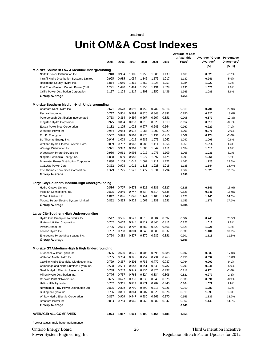**continued**

### **Average of Last Unit OM&A Cost Indexes**

|                                                    |       |       |       |       |       |       | Average or Last<br>3 Available | Average / Group      | Percentage               |
|----------------------------------------------------|-------|-------|-------|-------|-------|-------|--------------------------------|----------------------|--------------------------|
|                                                    | 2005  | 2006  | 2007  | 2008  | 2009  | 2010  | Years <sup>1</sup>             | Average <sup>1</sup> | Differences <sup>1</sup> |
|                                                    |       |       |       |       |       |       |                                | [A]                  | [A - 1]                  |
| Mid-size Southern Low & Medium Undergrounding      |       |       |       |       |       |       |                                |                      |                          |
| Norfolk Power Distribution Inc.                    | 0.940 | 0.934 | 1.106 | 1.255 | 1.086 | 1.139 | 1.160                          | 0.923                | $-7.7%$                  |
| Innisfil Hydro Distribution Systems Limited        | 0.925 | 0.985 | 1.054 | 1.149 | 1.179 | 1.217 | 1.182                          | 0.941                | $-5.9%$                  |
| Haldimand County Hydro Inc.                        | 1.014 | 1.080 | 1.365 | 1.369 | 1.228 | 1.253 | 1.284                          | 1.022                | 2.2%                     |
| Fort Erie - Eastern Ontario Power (CNP)            | 1.271 | 1.440 | 1.491 | 1.355 | 1.191 | 1.328 | 1.291                          | 1.028                | 2.8%                     |
| Orillia Power Distribution Corporation             | 1.157 | 1.128 | 1.214 | 1.308 | 1.350 | 1.436 | 1.365                          | 1.086                | 8.6%                     |
| Group Average                                      |       |       |       |       |       |       | 1.256                          |                      |                          |
|                                                    |       |       |       |       |       |       |                                |                      |                          |
| Mid-size Southern Medium-High Undergrounding       |       |       |       |       |       |       |                                |                      |                          |
| Chatham-Kent Hydro Inc.                            | 0.671 | 0.678 | 0.696 | 0.759 | 0.782 | 0.916 | 0.819                          | 0.791                | $-20.9%$                 |
| Festival Hydro Inc.                                | 0.717 | 0.801 | 0.791 | 0.820 | 0.848 | 0.882 | 0.850                          | 0.820                | $-18.0%$                 |
| Peterborough Distribution Incorporated             | 0.763 | 0.864 | 0.894 | 0.967 | 0.907 | 0.851 | 0.908                          | 0.877                | $-12.3%$                 |
| Kingston Hydro Corporation                         | 0.925 | 0.834 | 0.832 | 0.910 | 0.928 | 1.019 | 0.952                          | 0.919                | $-8.1%$                  |
| <b>Essex Powerlines Corporation</b>                | 1.132 | 1.105 | 1.023 | 0.977 | 0.945 | 0.964 | 0.962                          | 0.929                | $-7.1%$                  |
| Westario Power Inc.                                | 0.964 | 0.953 | 0.912 | 1.088 | 1.002 | 0.929 | 1.006                          | 0.971                | $-2.9%$                  |
| E.L.K. Energy Inc.                                 | 0.562 | 0.828 | 0.863 | 0.976 | 1.134 | 0.916 | 1.009                          | 0.974                | $-2.6%$                  |
| St. Thomas Energy Inc.                             | 0.946 | 1.073 | 1.016 | 0.989 | 1.075 | 1.062 | 1.042                          | 1.006                | 0.6%                     |
| Welland Hydro-Electric System Corp.                | 0.809 | 0.752 | 0.968 | 0.985 | 1.111 | 1.056 | 1.050                          | 1.014                | 1.4%                     |
| Wasaga Distribution Inc.                           | 0.921 | 0.982 | 0.962 | 1.005 | 1.047 | 1.111 | 1.054                          | 1.018                | 1.8%                     |
| Woodstock Hydro Services Inc.                      | 0.930 | 0.961 | 0.993 | 1.019 | 1.075 | 1.109 | 1.068                          | 1.031                | 3.1%                     |
| Niagara Peninsula Energy Inc.                      | 1.038 | 1.039 | 0.986 | 1.077 | 1.097 | 1.125 | 1.099                          | 1.061                | 6.1%                     |
| <b>Bluewater Power Distribution Corporation</b>    | 1.030 | 1.103 | 1.045 | 1.069 | 1.211 | 1.221 | 1.167                          | 1.126                | 12.6%                    |
| COLLUS Power Corp.                                 | 0.812 | 0.973 | 1.012 | 1.111 | 1.228 | 1.216 |                                | 1.144                | 14.4%                    |
|                                                    | 1.329 | 1.275 | 1.528 | 1.477 | 1.331 | 1.294 | 1.185<br>1.367                 | 1.320                | 32.0%                    |
| Erie Thames Powerlines Corporation                 |       |       |       |       |       |       |                                |                      |                          |
| Group Average                                      |       |       |       |       |       |       | 1.036                          |                      |                          |
| Large City Southern Medium-High Undergrounding     |       |       |       |       |       |       |                                |                      |                          |
|                                                    | 0.586 | 0.707 | 0.678 | 0.825 | 0.831 | 0.827 | 0.828                          | 0.841                | $-15.9%$                 |
| Hydro Ottawa Limited<br>Veridian Connections Inc.  | 0.805 | 0.846 | 0.747 |       | 0.814 | 0.835 |                                | 0.841                | $-15.9%$                 |
|                                                    |       |       |       | 0.834 |       |       | 0.828                          |                      |                          |
| EnWin Utilities Ltd.                               | 1.042 | 1.086 | 1.045 | 1.144 | 1.100 | 1.140 | 1.128                          | 1.146                | 14.6%                    |
| Toronto Hydro-Electric System Limited              | 0.862 | 0.855 | 0.925 | 1.069 | 1.138 | 1.251 | 1.153                          | 1.171                | 17.1%                    |
| Group Average                                      |       |       |       |       |       |       | 0.984                          |                      |                          |
| Large City Southern High Undergrounding            |       |       |       |       |       |       |                                |                      |                          |
| Hydro One Brampton Networks Inc.                   | 0.512 | 0.556 | 0.523 | 0.610 | 0.604 | 0.592 | 0.602                          | 0.745                | $-25.5%$                 |
| Horizon Utilities Corporation                      | 0.752 | 0.662 | 0.746 | 0.812 | 0.845 | 0.811 | 0.823                          | 1.018                | 1.8%                     |
| PowerStream Inc.                                   | 0.706 | 0.661 | 0.707 | 0.789 | 0.820 | 0.866 | 0.825                          | 1.021                | 2.1%                     |
|                                                    | 0.702 | 0.768 | 0.801 | 0.849 | 0.883 | 0.937 |                                | 1.101                | 10.1%                    |
| London Hydro Inc.                                  | 0.794 | 0.833 | 0.877 | 0.870 | 0.982 | 0.851 | 0.890                          | 1.115                | 11.5%                    |
| Enersource Hydro Mississauga Inc.                  |       |       |       |       |       |       | 0.901                          |                      |                          |
| Group Average                                      |       |       |       |       |       |       | 0.808                          |                      |                          |
|                                                    |       |       |       |       |       |       |                                |                      |                          |
| Mid-size GTA Medium-High & High Undergrounding     |       |       |       |       |       |       |                                |                      |                          |
| Kitchener-Wilmot Hydro Inc.                        | 0.606 | 0.660 | 0.670 | 0.705 | 0.698 | 0.688 | 0.697                          | 0.830                | $-17.0%$                 |
| Waterloo North Hydro Inc.                          | 0.735 | 0.754 | 0.726 | 0.752 | 0.734 | 0.763 | 0.750                          | 0.892                | $-10.8%$                 |
| Oakville Hydro Electricity Distribution Inc.       | 0.799 | 0.857 | 0.801 | 0.735 | 0.770 | 0.787 | 0.764                          | 0.909                | $-9.1%$                  |
| Cambridge and North Dumfries Hydro Inc.            | 0.598 | 0.594 | 0.683 | 0.751 | 0.833 | 0.787 | 0.790                          | 0.941                | $-5.9%$                  |
| Guelph Hydro Electric Systems Inc.                 | 0.738 | 0.742 | 0.847 | 0.834 | 0.824 | 0.797 | 0.818                          | 0.974                | $-2.6%$                  |
| Milton Hydro Distribution Inc.                     | 0.776 | 0.757 | 0.768 | 0.824 | 0.834 | 0.806 | 0.821                          | 0.977                | $-2.3%$                  |
| Oshawa PUC Networks Inc.                           | 0.665 | 0.677 | 0.730 | 0.833 | 0.840 | 0.825 | 0.833                          | 0.991                | $-0.9%$                  |
| Halton Hills Hydro Inc.                            | 0.762 | 0.911 | 0.823 | 0.971 | 0.782 | 0.840 | 0.864                          | 1.029                | 2.9%                     |
| Newmarket - Tay Power Distribution Ltd.            | 0.805 | 0.802 | 0.790 | 0.890 | 0.913 | 0.926 | 0.910                          | 1.083                | 8.3%                     |
| Burlington Hydro Inc.                              | 0.766 | 0.831 | 0.861 | 0.907 | 0.923 | 0.926 | 0.919                          | 1.093                | 9.3%                     |
| Whitby Hydro Electric Corporation                  | 0.867 | 0.909 | 0.947 | 0.930 | 0.966 | 0.970 | 0.955                          | 1.137                | 13.7%                    |
| Brantford Power Inc.                               | 0.883 | 0.784 | 0.965 | 0.962 | 0.982 | 0.942 | 0.962                          | 1.145                | 14.5%                    |
| Group Average                                      |       |       |       |       |       |       | 0.840                          |                      |                          |
|                                                    |       |       |       |       |       |       |                                |                      |                          |
| <b>AVERAGE: ALL COMPANIES</b>                      | 0.974 | 1.017 | 1.061 | 1.103 | 1.164 | 1.185 | 1.151                          |                      |                          |
|                                                    |       |       |       |       |       |       |                                |                      |                          |
| <sup>1</sup> Lower values imply better performance |       |       |       |       |       |       |                                |                      |                          |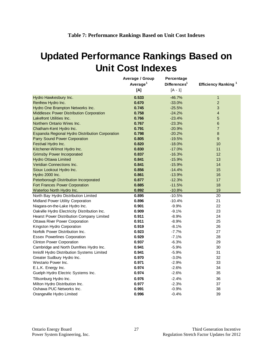## <span id="page-29-0"></span>**Updated Performance Rankings Based on Unit Cost Indexes**

|                                                  | Average / Group<br>Average <sup>1</sup> | Percentage<br>Differences <sup>1</sup> | Efficiency Ranking <sup>1</sup> |
|--------------------------------------------------|-----------------------------------------|----------------------------------------|---------------------------------|
|                                                  | [A]                                     | $[A - 1]$                              |                                 |
| Hydro Hawkesbury Inc.                            | 0.533                                   | $-46.7%$                               | 1                               |
| Renfrew Hydro Inc.                               | 0.670                                   | $-33.0%$                               | $\overline{2}$                  |
| Hydro One Brampton Networks Inc.                 | 0.745                                   | $-25.5%$                               | 3                               |
| Middlesex Power Distribution Corporation         | 0.758                                   | $-24.2%$                               | $\overline{4}$                  |
| Lakefront Utilities Inc.                         | 0.766                                   | $-23.4%$                               | 5                               |
| Northern Ontario Wires Inc.                      | 0.767                                   | $-23.3%$                               | 6                               |
| Chatham-Kent Hydro Inc.                          | 0.791                                   | $-20.9%$                               | $\overline{7}$                  |
| Espanola Regional Hydro Distribution Corporation | 0.798                                   | $-20.2%$                               | $\bf 8$                         |
| Parry Sound Power Corporation                    | 0.805                                   | $-19.5%$                               | $\boldsymbol{9}$                |
| Festival Hydro Inc.                              | 0.820                                   | $-18.0%$                               | 10                              |
| Kitchener-Wilmot Hydro Inc.                      | 0.830                                   | $-17.0%$                               | 11                              |
| <b>Grimsby Power Incorporated</b>                | 0.837                                   | $-16.3%$                               | 12                              |
| <b>Hydro Ottawa Limited</b>                      | 0.841                                   | $-15.9%$                               | 13                              |
| Veridian Connections Inc.                        | 0.841                                   | $-15.9%$                               | 14                              |
| Sioux Lookout Hydro Inc.                         | 0.856                                   | $-14.4%$                               | 15                              |
| Hydro 2000 Inc.                                  | 0.861                                   | $-13.9%$                               | 16                              |
| Peterborough Distribution Incorporated           | 0.877                                   | $-12.3%$                               | 17                              |
| Fort Frances Power Corporation                   | 0.885                                   | $-11.5%$                               | 18                              |
| Waterloo North Hydro Inc.                        | 0.892                                   | $-10.8%$                               | 19                              |
| North Bay Hydro Distribution Limited             | 0.895                                   | $-10.5%$                               | 20                              |
| Midland Power Utility Corporation                | 0.896                                   | $-10.4%$                               | 21                              |
| Niagara-on-the-Lake Hydro Inc.                   | 0.901                                   | $-9.9%$                                | 22                              |
| Oakville Hydro Electricity Distribution Inc.     | 0.909                                   | $-9.1%$                                | 23                              |
| Hearst Power Distribution Company Limited        | 0.911                                   | $-8.9%$                                | 24                              |
| Ottawa River Power Corporation                   | 0.911                                   | $-8.9%$                                | 25                              |
| Kingston Hydro Corporation                       | 0.919                                   | $-8.1%$                                | 26                              |
| Norfolk Power Distribution Inc.                  | 0.923                                   | $-7.7%$                                | 27                              |
| <b>Essex Powerlines Corporation</b>              | 0.929                                   | $-7.1%$                                | 28                              |
| <b>Clinton Power Corporation</b>                 | 0.937                                   | $-6.3%$                                | 29                              |
| Cambridge and North Dumfries Hydro Inc.          | 0.941                                   | $-5.9%$                                | 30                              |
| Innisfil Hydro Distribution Systems Limited      | 0.941                                   | $-5.9%$                                | 31                              |
| Greater Sudbury Hydro Inc.                       | 0.970                                   | $-3.0%$                                | 32                              |
| Westario Power Inc.                              | 0.971                                   | $-2.9%$                                | 33                              |
| E.L.K. Energy Inc.                               | 0.974                                   | $-2.6%$                                | 34                              |
| Guelph Hydro Electric Systems Inc.               | 0.974                                   | $-2.6%$                                | 35                              |
| Tillsonburg Hydro Inc.                           | 0.976                                   | $-2.4%$                                | 36                              |
| Milton Hydro Distribution Inc.                   | 0.977                                   | $-2.3%$                                | 37                              |
| Oshawa PUC Networks Inc.                         | 0.991                                   | $-0.9%$                                | 38                              |
| Orangeville Hydro Limited                        | 0.996                                   | $-0.4%$                                | 39                              |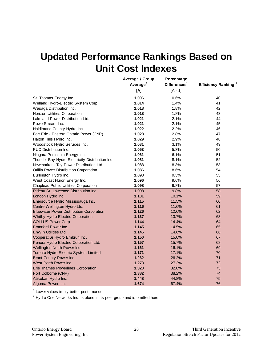## **Updated Performance Rankings Based on Unit Cost Indexes**

|                                                 | Average / Group<br>Average <sup>1</sup><br>[A] | Percentage<br>Differences <sup>1</sup><br>$[A - 1]$ | Efficiency Ranking <sup>1</sup> |
|-------------------------------------------------|------------------------------------------------|-----------------------------------------------------|---------------------------------|
|                                                 |                                                |                                                     |                                 |
| St. Thomas Energy Inc.                          | 1.006                                          | 0.6%                                                | 40                              |
| Welland Hydro-Electric System Corp.             | 1.014                                          | 1.4%                                                | 41                              |
| Wasaga Distribution Inc.                        | 1.018                                          | 1.8%                                                | 42                              |
| Horizon Utilities Corporation                   | 1.018                                          | 1.8%                                                | 43                              |
| Lakeland Power Distribution Ltd.                | 1.021                                          | 2.1%                                                | 44                              |
| PowerStream Inc.                                | 1.021                                          | 2.1%                                                | 45                              |
| Haldimand County Hydro Inc.                     | 1.022                                          | 2.2%                                                | 46                              |
| Fort Erie - Eastern Ontario Power (CNP)         | 1.028                                          | 2.8%                                                | 47                              |
| Halton Hills Hydro Inc.                         | 1.029                                          | 2.9%                                                | 48                              |
| Woodstock Hydro Services Inc.                   | 1.031                                          | 3.1%                                                | 49                              |
| <b>PUC Distribution Inc.</b>                    | 1.053                                          | 5.3%                                                | 50                              |
| Niagara Peninsula Energy Inc.                   | 1.061                                          | 6.1%                                                | 51                              |
| Thunder Bay Hydro Electricity Distribution Inc. | 1.081                                          | 8.1%                                                | 52                              |
| Newmarket - Tay Power Distribution Ltd.         | 1.083                                          | 8.3%                                                | 53                              |
| Orillia Power Distribution Corporation          | 1.086                                          | 8.6%                                                | 54                              |
| Burlington Hydro Inc.                           | 1.093                                          | 9.3%                                                | 55                              |
| West Coast Huron Energy Inc.                    | 1.096                                          | 9.6%                                                | 56                              |
| Chapleau Public Utilities Corporation           | 1.098                                          | 9.8%                                                | 57                              |
| Rideau St. Lawrence Distribution Inc.           | 1.098                                          | 9.8%                                                | 58                              |
| London Hydro Inc.                               | 1.101                                          | 10.1%                                               | 59                              |
| Enersource Hydro Mississauga Inc.               | 1.115                                          | 11.5%                                               | 60                              |
| Centre Wellington Hydro Ltd.                    | 1.116                                          | 11.6%                                               | 61                              |
| <b>Bluewater Power Distribution Corporation</b> | 1.126                                          | 12.6%                                               | 62                              |
| Whitby Hydro Electric Corporation               | 1.137                                          | 13.7%                                               | 63                              |
| <b>COLLUS Power Corp.</b>                       | 1.144                                          | 14.4%                                               | 64                              |
| <b>Brantford Power Inc.</b>                     | 1.145                                          | 14.5%                                               | 65                              |
| EnWin Utilities Ltd.                            | 1.146                                          | 14.6%                                               | 66                              |
| Cooperative Hydro Embrun Inc.                   | 1.150                                          | 15.0%                                               | 67                              |
| Kenora Hydro Electric Corporation Ltd.          | 1.157                                          | 15.7%                                               | 68                              |
| Wellington North Power Inc.                     | 1.161                                          | 16.1%                                               | 69                              |
| Toronto Hydro-Electric System Limited           | 1.171                                          | 17.1%                                               | 70                              |
| Brant County Power Inc.                         | 1.262                                          | 26.2%                                               | 71                              |
| West Perth Power Inc.                           | 1.273                                          | 27.3%                                               | 72                              |
| <b>Erie Thames Powerlines Corporation</b>       | 1.320                                          | 32.0%                                               | 73                              |
| Port Colborne (CNP)                             | 1.382                                          | 38.2%                                               | 74                              |
| Atikokan Hydro Inc.                             | 1.448                                          | 44.8%                                               | 75                              |
| Algoma Power Inc.                               | 1.674                                          | 67.4%                                               | 76                              |

<sup>1</sup> Lower values imply better performance

 $2$  Hydro One Networks Inc. is alone in its peer group and is omitted here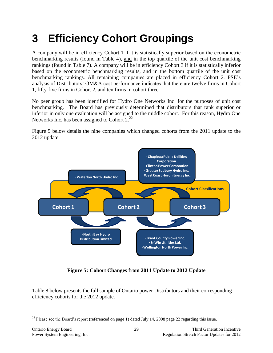# <span id="page-31-0"></span>**3 Efficiency Cohort Groupings**

A company will be in efficiency Cohort 1 if it is statistically superior based on the econometric benchmarking results (found in Table 4), and in the top quartile of the unit cost benchmarking rankings (found in Table 7). A company will be in efficiency Cohort 3 if it is statistically inferior based on the econometric benchmarking results, and in the bottom quartile of the unit cost benchmarking rankings. All remaining companies are placed in efficiency Cohort 2. PSE's analysis of Distributors' OM&A cost performance indicates that there are twelve firms in Cohort 1, fifty-five firms in Cohort 2, and ten firms in cohort three.

No peer group has been identified for Hydro One Networks Inc. for the purposes of unit cost benchmarking. The Board has previously determined that distributors that rank superior or inferior in only one evaluation will be assigned to the middle cohort. For this reason, Hydro One Networks Inc. has been assigned to Cohort  $2^{22}$ 

Figure 5 below details the nine companies which changed cohorts from the 2011 update to the 2012 update.



**Figure 5: Cohort Changes from 2011 Update to 2012 Update**

<span id="page-31-1"></span>Table 8 below presents the full sample of Ontario power Distributors and their corresponding efficiency cohorts for the 2012 update.

 $\overline{a}$  $22$  Please see the Board's report (referenced on page 1) dated July 14, 2008 page 22 regarding this issue.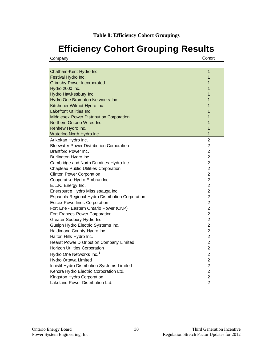## <span id="page-32-0"></span>**Efficiency Cohort Grouping Results**

Company Cohort

| Chatham-Kent Hydro Inc.                          | 1              |
|--------------------------------------------------|----------------|
| Festival Hydro Inc.                              | 1              |
| <b>Grimsby Power Incorporated</b>                | 1              |
| Hydro 2000 Inc.                                  | 1              |
| Hydro Hawkesbury Inc.                            | 1              |
| Hydro One Brampton Networks Inc.                 | 1              |
| Kitchener-Wilmot Hydro Inc.                      | 1              |
| Lakefront Utilities Inc.                         | 1              |
| <b>Middlesex Power Distribution Corporation</b>  | 1              |
| Northern Ontario Wires Inc.                      | 1              |
| Renfrew Hydro Inc.                               | 1              |
| Waterloo North Hydro Inc.                        | 1              |
| Atikokan Hydro Inc.                              | $\overline{2}$ |
| <b>Bluewater Power Distribution Corporation</b>  | $\overline{2}$ |
| Brantford Power Inc.                             | $\overline{2}$ |
| Burlington Hydro Inc.                            | $\overline{c}$ |
| Cambridge and North Dumfries Hydro Inc.          | $\overline{2}$ |
| Chapleau Public Utilities Corporation            | $\overline{c}$ |
| <b>Clinton Power Corporation</b>                 | $\overline{2}$ |
| Cooperative Hydro Embrun Inc.                    | $\overline{c}$ |
| E.L.K. Energy Inc.                               | $\overline{c}$ |
| Enersource Hydro Mississauga Inc.                | $\overline{2}$ |
| Espanola Regional Hydro Distribution Corporation | $\overline{2}$ |
| <b>Essex Powerlines Corporation</b>              | $\overline{2}$ |
| Fort Erie - Eastern Ontario Power (CNP)          | $\overline{2}$ |
| Fort Frances Power Corporation                   | $\overline{2}$ |
| Greater Sudbury Hydro Inc.                       | $\overline{c}$ |
| Guelph Hydro Electric Systems Inc.               | $\overline{c}$ |
| Haldimand County Hydro Inc.                      | 2              |
| Halton Hills Hydro Inc.                          | $\overline{2}$ |
| Hearst Power Distribution Company Limited        | $\overline{c}$ |
| Horizon Utilities Corporation                    | $\overline{2}$ |
| Hydro One Networks Inc. <sup>1</sup>             | $\overline{c}$ |
| Hydro Ottawa Limited                             | $\overline{c}$ |
| Innisfil Hydro Distribution Systems Limited      | $\overline{2}$ |
| Kenora Hydro Electric Corporation Ltd.           | $\overline{c}$ |
| Kingston Hydro Corporation                       | $\overline{2}$ |
| Lakeland Power Distribution Ltd.                 | $\overline{2}$ |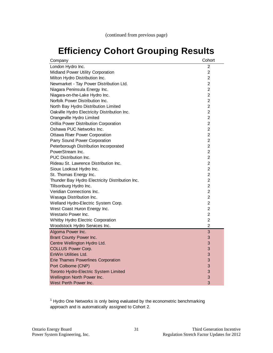## **Efficiency Cohort Grouping Results**

| Company                                         | Cohort         |
|-------------------------------------------------|----------------|
| London Hydro Inc.                               | 2              |
| Midland Power Utility Corporation               | $\overline{2}$ |
| Milton Hydro Distribution Inc.                  | $\overline{2}$ |
| Newmarket - Tay Power Distribution Ltd.         | $\overline{2}$ |
| Niagara Peninsula Energy Inc.                   | $\overline{2}$ |
| Niagara-on-the-Lake Hydro Inc.                  | $\overline{2}$ |
| Norfolk Power Distribution Inc.                 | $\overline{2}$ |
| North Bay Hydro Distribution Limited            | $\overline{2}$ |
| Oakville Hydro Electricity Distribution Inc.    | $\overline{2}$ |
| Orangeville Hydro Limited                       | $\overline{c}$ |
| Orillia Power Distribution Corporation          | $\overline{c}$ |
| Oshawa PUC Networks Inc.                        | 2              |
| <b>Ottawa River Power Corporation</b>           | 2              |
| Parry Sound Power Corporation                   | $\overline{2}$ |
| Peterborough Distribution Incorporated          | $\overline{2}$ |
| PowerStream Inc.                                | $\overline{2}$ |
| PUC Distribution Inc.                           | $\overline{2}$ |
| Rideau St. Lawrence Distribution Inc.           | $\overline{c}$ |
| Sioux Lookout Hydro Inc.                        | $\overline{c}$ |
| St. Thomas Energy Inc.                          | 2              |
| Thunder Bay Hydro Electricity Distribution Inc. | $\overline{c}$ |
| Tillsonburg Hydro Inc.                          | $\overline{2}$ |
| Veridian Connections Inc.                       | $\overline{2}$ |
| Wasaga Distribution Inc.                        | $\overline{2}$ |
| Welland Hydro-Electric System Corp.             | $\overline{c}$ |
| West Coast Huron Energy Inc.                    | $\overline{2}$ |
| Westario Power Inc.                             | $\overline{2}$ |
| Whitby Hydro Electric Corporation               | $\overline{c}$ |
| Woodstock Hydro Services Inc.                   | $\overline{c}$ |
| Algoma Power Inc.                               | 3              |
| Brant County Power Inc.                         | 3              |
| Centre Wellington Hydro Ltd.                    | 3              |
| <b>COLLUS Power Corp.</b>                       | 3              |
| EnWin Utilities Ltd.                            | 3              |
| <b>Erie Thames Powerlines Corporation</b>       | 3              |
| Port Colborne (CNP)                             | 3              |
| Toronto Hydro-Electric System Limited           | 3              |
| Wellington North Power Inc.                     | 3              |
| West Perth Power Inc.                           | 3              |

 $<sup>1</sup>$  Hydro One Networks is only being evaluated by the econometric benchmarking</sup> approach and is automatically assigned to Cohort 2.